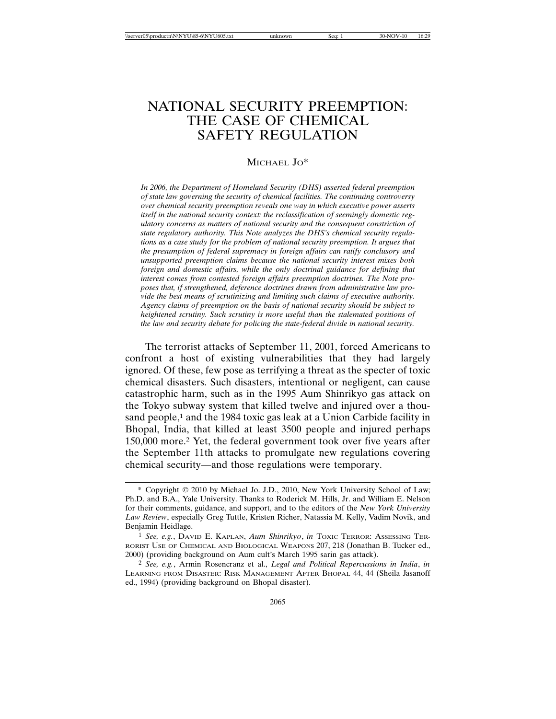# NATIONAL SECURITY PREEMPTION: THE CASE OF CHEMICAL SAFETY REGULATION

#### MICHAEL JO\*

*In 2006, the Department of Homeland Security (DHS) asserted federal preemption of state law governing the security of chemical facilities. The continuing controversy over chemical security preemption reveals one way in which executive power asserts itself in the national security context: the reclassification of seemingly domestic regulatory concerns as matters of national security and the consequent constriction of state regulatory authority. This Note analyzes the DHS's chemical security regulations as a case study for the problem of national security preemption. It argues that the presumption of federal supremacy in foreign affairs can ratify conclusory and unsupported preemption claims because the national security interest mixes both foreign and domestic affairs, while the only doctrinal guidance for defining that interest comes from contested foreign affairs preemption doctrines. The Note proposes that, if strengthened, deference doctrines drawn from administrative law provide the best means of scrutinizing and limiting such claims of executive authority. Agency claims of preemption on the basis of national security should be subject to heightened scrutiny. Such scrutiny is more useful than the stalemated positions of the law and security debate for policing the state-federal divide in national security.*

The terrorist attacks of September 11, 2001, forced Americans to confront a host of existing vulnerabilities that they had largely ignored. Of these, few pose as terrifying a threat as the specter of toxic chemical disasters. Such disasters, intentional or negligent, can cause catastrophic harm, such as in the 1995 Aum Shinrikyo gas attack on the Tokyo subway system that killed twelve and injured over a thousand people,<sup>1</sup> and the 1984 toxic gas leak at a Union Carbide facility in Bhopal, India, that killed at least 3500 people and injured perhaps 150,000 more.2 Yet, the federal government took over five years after the September 11th attacks to promulgate new regulations covering chemical security—and those regulations were temporary.

<sup>\*</sup> Copyright 2010 by Michael Jo. J.D., 2010, New York University School of Law; Ph.D. and B.A., Yale University. Thanks to Roderick M. Hills, Jr. and William E. Nelson for their comments, guidance, and support, and to the editors of the *New York University Law Review*, especially Greg Tuttle, Kristen Richer, Natassia M. Kelly, Vadim Novik, and Benjamin Heidlage.

<sup>1</sup> *See, e.g.*, DAVID E. KAPLAN, *Aum Shinrikyo*, *in* TOXIC TERROR: ASSESSING TER-RORIST USE OF CHEMICAL AND BIOLOGICAL WEAPONS 207, 218 (Jonathan B. Tucker ed., 2000) (providing background on Aum cult's March 1995 sarin gas attack).

<sup>2</sup> *See, e.g.*, Armin Rosencranz et al., *Legal and Political Repercussions in India*, *in* LEARNING FROM DISASTER: RISK MANAGEMENT AFTER BHOPAL 44, 44 (Sheila Jasanoff ed., 1994) (providing background on Bhopal disaster).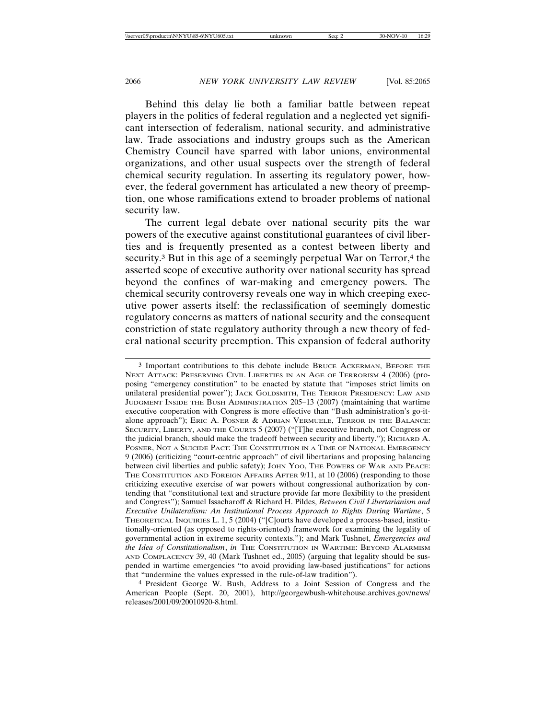Behind this delay lie both a familiar battle between repeat players in the politics of federal regulation and a neglected yet significant intersection of federalism, national security, and administrative law. Trade associations and industry groups such as the American Chemistry Council have sparred with labor unions, environmental organizations, and other usual suspects over the strength of federal chemical security regulation. In asserting its regulatory power, however, the federal government has articulated a new theory of preemption, one whose ramifications extend to broader problems of national security law.

The current legal debate over national security pits the war powers of the executive against constitutional guarantees of civil liberties and is frequently presented as a contest between liberty and security.<sup>3</sup> But in this age of a seemingly perpetual War on Terror,<sup>4</sup> the asserted scope of executive authority over national security has spread beyond the confines of war-making and emergency powers. The chemical security controversy reveals one way in which creeping executive power asserts itself: the reclassification of seemingly domestic regulatory concerns as matters of national security and the consequent constriction of state regulatory authority through a new theory of federal national security preemption. This expansion of federal authority

3 Important contributions to this debate include BRUCE ACKERMAN, BEFORE THE NEXT ATTACK: PRESERVING CIVIL LIBERTIES IN AN AGE OF TERRORISM 4 (2006) (proposing "emergency constitution" to be enacted by statute that "imposes strict limits on unilateral presidential power"); JACK GOLDSMITH, THE TERROR PRESIDENCY: LAW AND JUDGMENT INSIDE THE BUSH ADMINISTRATION 205–13 (2007) (maintaining that wartime executive cooperation with Congress is more effective than "Bush administration's go-italone approach"); ERIC A. POSNER & ADRIAN VERMUELE, TERROR IN THE BALANCE: SECURITY, LIBERTY, AND THE COURTS 5 (2007) ("[T]he executive branch, not Congress or the judicial branch, should make the tradeoff between security and liberty."); RICHARD A. POSNER, NOT A SUICIDE PACT: THE CONSTITUTION IN A TIME OF NATIONAL EMERGENCY 9 (2006) (criticizing "court-centric approach" of civil libertarians and proposing balancing between civil liberties and public safety); JOHN YOO, THE POWERS OF WAR AND PEACE: THE CONSTITUTION AND FOREIGN AFFAIRS AFTER 9/11, at 10 (2006) (responding to those criticizing executive exercise of war powers without congressional authorization by contending that "constitutional text and structure provide far more flexibility to the president and Congress"); Samuel Issacharoff & Richard H. Pildes, *Between Civil Libertarianism and Executive Unilateralism: An Institutional Process Approach to Rights During Wartime*, 5 THEORETICAL INQUIRIES L. 1, 5 (2004) ("[C]ourts have developed a process-based, institutionally-oriented (as opposed to rights-oriented) framework for examining the legality of governmental action in extreme security contexts."); and Mark Tushnet, *Emergencies and the Idea of Constitutionalism*, *in* THE CONSTITUTION IN WARTIME: BEYOND ALARMISM AND COMPLACENCY 39, 40 (Mark Tushnet ed., 2005) (arguing that legality should be suspended in wartime emergencies "to avoid providing law-based justifications" for actions that "undermine the values expressed in the rule-of-law tradition").

4 President George W. Bush, Address to a Joint Session of Congress and the American People (Sept. 20, 2001), http://georgewbush-whitehouse.archives.gov/news/ releases/2001/09/20010920-8.html.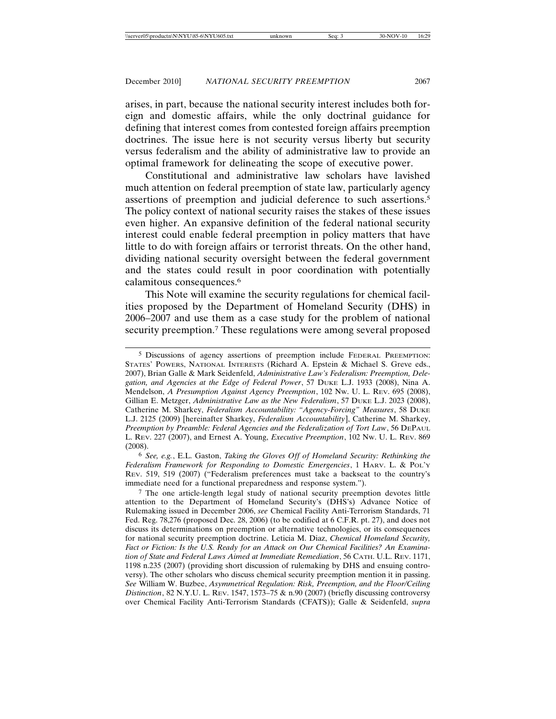arises, in part, because the national security interest includes both foreign and domestic affairs, while the only doctrinal guidance for defining that interest comes from contested foreign affairs preemption doctrines. The issue here is not security versus liberty but security versus federalism and the ability of administrative law to provide an optimal framework for delineating the scope of executive power.

Constitutional and administrative law scholars have lavished much attention on federal preemption of state law, particularly agency assertions of preemption and judicial deference to such assertions.5 The policy context of national security raises the stakes of these issues even higher. An expansive definition of the federal national security interest could enable federal preemption in policy matters that have little to do with foreign affairs or terrorist threats. On the other hand, dividing national security oversight between the federal government and the states could result in poor coordination with potentially calamitous consequences.6

This Note will examine the security regulations for chemical facilities proposed by the Department of Homeland Security (DHS) in 2006–2007 and use them as a case study for the problem of national security preemption.<sup>7</sup> These regulations were among several proposed

<sup>5</sup> Discussions of agency assertions of preemption include FEDERAL PREEMPTION: STATES' POWERS, NATIONAL INTERESTS (Richard A. Epstein & Michael S. Greve eds., 2007), Brian Galle & Mark Seidenfeld, *Administrative Law's Federalism: Preemption, Delegation, and Agencies at the Edge of Federal Power*, 57 DUKE L.J. 1933 (2008), Nina A. Mendelson, *A Presumption Against Agency Preemption*, 102 NW. U. L. REV. 695 (2008), Gillian E. Metzger, *Administrative Law as the New Federalism*, 57 DUKE L.J. 2023 (2008), Catherine M. Sharkey, *Federalism Accountability: "Agency-Forcing" Measures*, 58 DUKE L.J. 2125 (2009) [hereinafter Sharkey, *Federalism Accountability*], Catherine M. Sharkey, *Preemption by Preamble: Federal Agencies and the Federalization of Tort Law*, 56 DEPAUL L. REV. 227 (2007), and Ernest A. Young, *Executive Preemption*, 102 NW. U. L. REV. 869 (2008).

<sup>6</sup> *See, e.g.*, E.L. Gaston, *Taking the Gloves Off of Homeland Security: Rethinking the Federalism Framework for Responding to Domestic Emergencies*, 1 HARV. L. & POL'Y REV. 519, 519 (2007) ("Federalism preferences must take a backseat to the country's immediate need for a functional preparedness and response system.").

<sup>7</sup> The one article-length legal study of national security preemption devotes little attention to the Department of Homeland Security's (DHS's) Advance Notice of Rulemaking issued in December 2006, *see* Chemical Facility Anti-Terrorism Standards, 71 Fed. Reg. 78,276 (proposed Dec. 28, 2006) (to be codified at 6 C.F.R. pt. 27), and does not discuss its determinations on preemption or alternative technologies, or its consequences for national security preemption doctrine. Leticia M. Diaz, *Chemical Homeland Security, Fact or Fiction: Is the U.S. Ready for an Attack on Our Chemical Facilities? An Examination of State and Federal Laws Aimed at Immediate Remediation*, 56 CATH. U.L. REV. 1171, 1198 n.235 (2007) (providing short discussion of rulemaking by DHS and ensuing controversy). The other scholars who discuss chemical security preemption mention it in passing. *See* William W. Buzbee, *Asymmetrical Regulation: Risk, Preemption, and the Floor/Ceiling Distinction*, 82 N.Y.U. L. REV. 1547, 1573–75 & n.90 (2007) (briefly discussing controversy over Chemical Facility Anti-Terrorism Standards (CFATS)); Galle & Seidenfeld, *supra*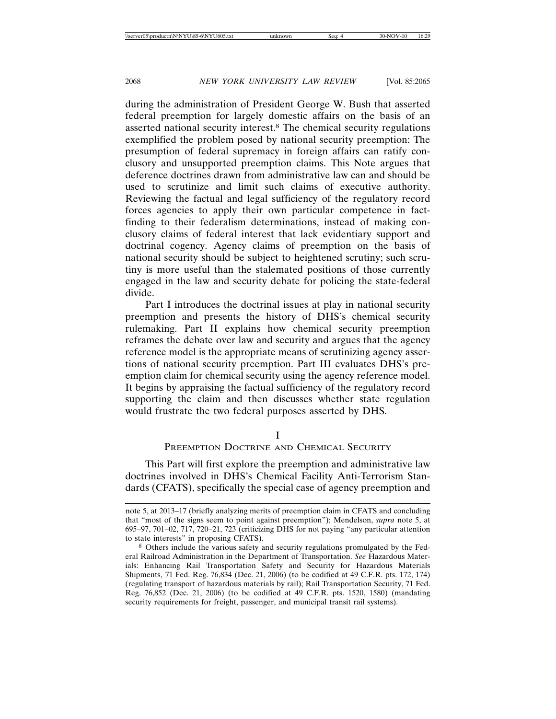during the administration of President George W. Bush that asserted federal preemption for largely domestic affairs on the basis of an asserted national security interest.8 The chemical security regulations exemplified the problem posed by national security preemption: The presumption of federal supremacy in foreign affairs can ratify conclusory and unsupported preemption claims. This Note argues that deference doctrines drawn from administrative law can and should be used to scrutinize and limit such claims of executive authority. Reviewing the factual and legal sufficiency of the regulatory record forces agencies to apply their own particular competence in factfinding to their federalism determinations, instead of making conclusory claims of federal interest that lack evidentiary support and doctrinal cogency. Agency claims of preemption on the basis of national security should be subject to heightened scrutiny; such scrutiny is more useful than the stalemated positions of those currently engaged in the law and security debate for policing the state-federal divide.

Part I introduces the doctrinal issues at play in national security preemption and presents the history of DHS's chemical security rulemaking. Part II explains how chemical security preemption reframes the debate over law and security and argues that the agency reference model is the appropriate means of scrutinizing agency assertions of national security preemption. Part III evaluates DHS's preemption claim for chemical security using the agency reference model. It begins by appraising the factual sufficiency of the regulatory record supporting the claim and then discusses whether state regulation would frustrate the two federal purposes asserted by DHS.

I

#### PREEMPTION DOCTRINE AND CHEMICAL SECURITY

This Part will first explore the preemption and administrative law doctrines involved in DHS's Chemical Facility Anti-Terrorism Standards (CFATS), specifically the special case of agency preemption and

note 5, at 2013–17 (briefly analyzing merits of preemption claim in CFATS and concluding that "most of the signs seem to point against preemption"); Mendelson, *supra* note 5, at 695–97, 701–02, 717, 720–21, 723 (criticizing DHS for not paying "any particular attention to state interests" in proposing CFATS).

<sup>8</sup> Others include the various safety and security regulations promulgated by the Federal Railroad Administration in the Department of Transportation. *See* Hazardous Materials: Enhancing Rail Transportation Safety and Security for Hazardous Materials Shipments, 71 Fed. Reg. 76,834 (Dec. 21, 2006) (to be codified at 49 C.F.R. pts. 172, 174) (regulating transport of hazardous materials by rail); Rail Transportation Security, 71 Fed. Reg. 76,852 (Dec. 21, 2006) (to be codified at 49 C.F.R. pts. 1520, 1580) (mandating security requirements for freight, passenger, and municipal transit rail systems).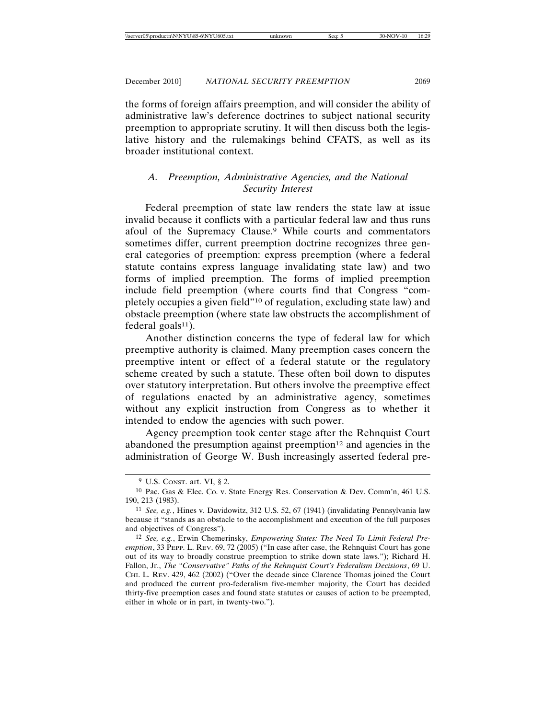the forms of foreign affairs preemption, and will consider the ability of administrative law's deference doctrines to subject national security preemption to appropriate scrutiny. It will then discuss both the legislative history and the rulemakings behind CFATS, as well as its broader institutional context.

### *A. Preemption, Administrative Agencies, and the National Security Interest*

Federal preemption of state law renders the state law at issue invalid because it conflicts with a particular federal law and thus runs afoul of the Supremacy Clause.<sup>9</sup> While courts and commentators sometimes differ, current preemption doctrine recognizes three general categories of preemption: express preemption (where a federal statute contains express language invalidating state law) and two forms of implied preemption. The forms of implied preemption include field preemption (where courts find that Congress "completely occupies a given field"10 of regulation, excluding state law) and obstacle preemption (where state law obstructs the accomplishment of federal goals $11$ ).

Another distinction concerns the type of federal law for which preemptive authority is claimed. Many preemption cases concern the preemptive intent or effect of a federal statute or the regulatory scheme created by such a statute. These often boil down to disputes over statutory interpretation. But others involve the preemptive effect of regulations enacted by an administrative agency, sometimes without any explicit instruction from Congress as to whether it intended to endow the agencies with such power.

Agency preemption took center stage after the Rehnquist Court abandoned the presumption against preemption $12$  and agencies in the administration of George W. Bush increasingly asserted federal pre-

<sup>9</sup> U.S. CONST. art. VI, § 2.

<sup>10</sup> Pac. Gas & Elec. Co. v. State Energy Res. Conservation & Dev. Comm'n, 461 U.S. 190, 213 (1983).

<sup>11</sup> *See, e.g.*, Hines v. Davidowitz, 312 U.S. 52, 67 (1941) (invalidating Pennsylvania law because it "stands as an obstacle to the accomplishment and execution of the full purposes and objectives of Congress").

<sup>12</sup> *See, e.g.*, Erwin Chemerinsky, *Empowering States: The Need To Limit Federal Preemption*, 33 PEPP. L. REV. 69, 72 (2005) ("In case after case, the Rehnquist Court has gone out of its way to broadly construe preemption to strike down state laws."); Richard H. Fallon, Jr., *The "Conservative" Paths of the Rehnquist Court's Federalism Decisions*, 69 U. CHI. L. REV. 429, 462 (2002) ("Over the decade since Clarence Thomas joined the Court and produced the current pro-federalism five-member majority, the Court has decided thirty-five preemption cases and found state statutes or causes of action to be preempted, either in whole or in part, in twenty-two.").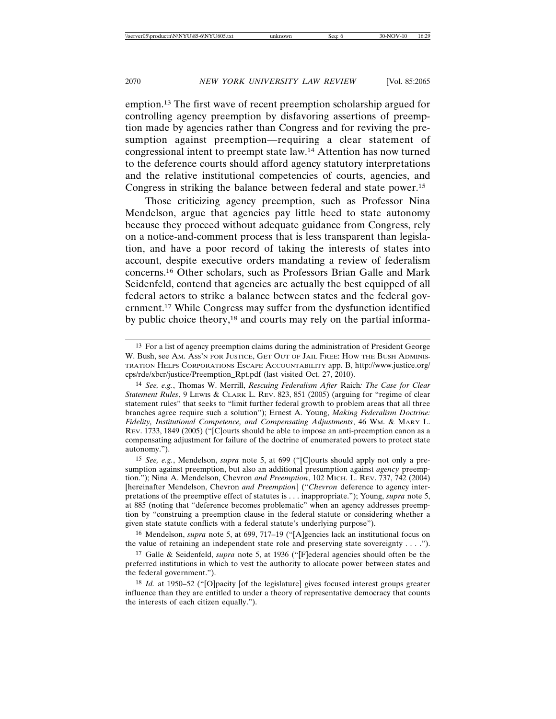emption.13 The first wave of recent preemption scholarship argued for controlling agency preemption by disfavoring assertions of preemption made by agencies rather than Congress and for reviving the presumption against preemption—requiring a clear statement of congressional intent to preempt state law.14 Attention has now turned to the deference courts should afford agency statutory interpretations and the relative institutional competencies of courts, agencies, and Congress in striking the balance between federal and state power.15

Those criticizing agency preemption, such as Professor Nina Mendelson, argue that agencies pay little heed to state autonomy because they proceed without adequate guidance from Congress, rely on a notice-and-comment process that is less transparent than legislation, and have a poor record of taking the interests of states into account, despite executive orders mandating a review of federalism concerns.16 Other scholars, such as Professors Brian Galle and Mark Seidenfeld, contend that agencies are actually the best equipped of all federal actors to strike a balance between states and the federal government.17 While Congress may suffer from the dysfunction identified by public choice theory,18 and courts may rely on the partial informa-

<sup>13</sup> For a list of agency preemption claims during the administration of President George W. Bush, see AM. ASS'N FOR JUSTICE, GET OUT OF JAIL FREE: HOW THE BUSH ADMINIS-TRATION HELPS CORPORATIONS ESCAPE ACCOUNTABILITY app. B, http://www.justice.org/ cps/rde/xbcr/justice/Preemption\_Rpt.pdf (last visited Oct. 27, 2010).

<sup>14</sup> *See, e.g.*, Thomas W. Merrill, *Rescuing Federalism After* Raich*: The Case for Clear Statement Rules*, 9 LEWIS & CLARK L. REV. 823, 851 (2005) (arguing for "regime of clear statement rules" that seeks to "limit further federal growth to problem areas that all three branches agree require such a solution"); Ernest A. Young, *Making Federalism Doctrine: Fidelity, Institutional Competence, and Compensating Adjustments*, 46 WM. & MARY L. REV. 1733, 1849 (2005) ("[C]ourts should be able to impose an anti-preemption canon as a compensating adjustment for failure of the doctrine of enumerated powers to protect state autonomy.").

<sup>15</sup> *See, e.g.*, Mendelson, *supra* note 5, at 699 ("[C]ourts should apply not only a presumption against preemption, but also an additional presumption against *agency* preemption."); Nina A. Mendelson, Chevron *and Preemption*, 102 MICH. L. REV. 737, 742 (2004) [hereinafter Mendelson, Chevron *and Preemption*] ("*Chevron* deference to agency interpretations of the preemptive effect of statutes is . . . inappropriate."); Young, *supra* note 5, at 885 (noting that "deference becomes problematic" when an agency addresses preemption by "construing a preemption clause in the federal statute or considering whether a given state statute conflicts with a federal statute's underlying purpose").

<sup>16</sup> Mendelson, *supra* note 5, at 699, 717–19 ("[A]gencies lack an institutional focus on the value of retaining an independent state role and preserving state sovereignty . . . .").

<sup>17</sup> Galle & Seidenfeld, *supra* note 5, at 1936 ("[F]ederal agencies should often be the preferred institutions in which to vest the authority to allocate power between states and the federal government.").

<sup>18</sup> *Id.* at 1950–52 ("[O]pacity [of the legislature] gives focused interest groups greater influence than they are entitled to under a theory of representative democracy that counts the interests of each citizen equally.").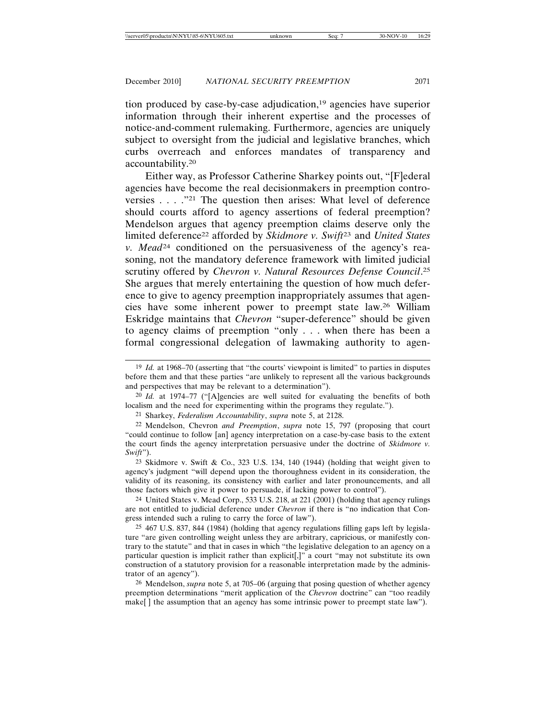tion produced by case-by-case adjudication,19 agencies have superior information through their inherent expertise and the processes of notice-and-comment rulemaking. Furthermore, agencies are uniquely subject to oversight from the judicial and legislative branches, which curbs overreach and enforces mandates of transparency and accountability.20

Either way, as Professor Catherine Sharkey points out, "[F]ederal agencies have become the real decisionmakers in preemption controversies . . . ."21 The question then arises: What level of deference should courts afford to agency assertions of federal preemption? Mendelson argues that agency preemption claims deserve only the limited deference22 afforded by *Skidmore v. Swift*<sup>23</sup> and *United States v. Mead*<sup>24</sup> conditioned on the persuasiveness of the agency's reasoning, not the mandatory deference framework with limited judicial scrutiny offered by *Chevron v. Natural Resources Defense Council*. 25 She argues that merely entertaining the question of how much deference to give to agency preemption inappropriately assumes that agencies have some inherent power to preempt state law.26 William Eskridge maintains that *Chevron* "super-deference" should be given to agency claims of preemption "only . . . when there has been a formal congressional delegation of lawmaking authority to agen-

20 *Id.* at 1974–77 ("[A]gencies are well suited for evaluating the benefits of both localism and the need for experimenting within the programs they regulate.").

21 Sharkey, *Federalism Accountability*, *supra* note 5, at 2128.

22 Mendelson, Chevron *and Preemption*, *supra* note 15, 797 (proposing that court "could continue to follow [an] agency interpretation on a case-by-case basis to the extent the court finds the agency interpretation persuasive under the doctrine of *Skidmore v. Swift*").

23 Skidmore v. Swift & Co., 323 U.S. 134, 140 (1944) (holding that weight given to agency's judgment "will depend upon the thoroughness evident in its consideration, the validity of its reasoning, its consistency with earlier and later pronouncements, and all those factors which give it power to persuade, if lacking power to control").

24 United States v. Mead Corp., 533 U.S. 218, at 221 (2001) (holding that agency rulings are not entitled to judicial deference under *Chevron* if there is "no indication that Congress intended such a ruling to carry the force of law").

25 467 U.S. 837, 844 (1984) (holding that agency regulations filling gaps left by legislature "are given controlling weight unless they are arbitrary, capricious, or manifestly contrary to the statute" and that in cases in which "the legislative delegation to an agency on a particular question is implicit rather than explicit[,]" a court "may not substitute its own construction of a statutory provision for a reasonable interpretation made by the administrator of an agency").

26 Mendelson, *supra* note 5, at 705–06 (arguing that posing question of whether agency preemption determinations "merit application of the *Chevron* doctrine" can "too readily make<sup>[]</sup> the assumption that an agency has some intrinsic power to preempt state law").

<sup>19</sup> *Id.* at 1968–70 (asserting that "the courts' viewpoint is limited" to parties in disputes before them and that these parties "are unlikely to represent all the various backgrounds and perspectives that may be relevant to a determination").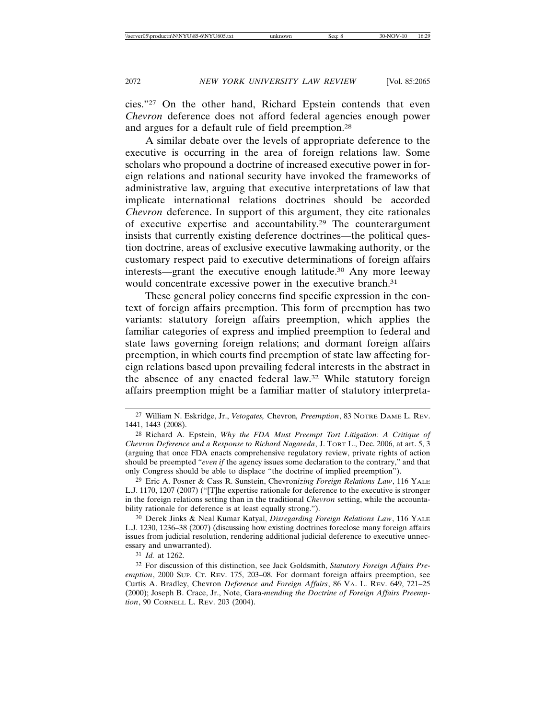cies."27 On the other hand, Richard Epstein contends that even *Chevron* deference does not afford federal agencies enough power and argues for a default rule of field preemption.28

A similar debate over the levels of appropriate deference to the executive is occurring in the area of foreign relations law. Some scholars who propound a doctrine of increased executive power in foreign relations and national security have invoked the frameworks of administrative law, arguing that executive interpretations of law that implicate international relations doctrines should be accorded *Chevron* deference. In support of this argument, they cite rationales of executive expertise and accountability.29 The counterargument insists that currently existing deference doctrines—the political question doctrine, areas of exclusive executive lawmaking authority, or the customary respect paid to executive determinations of foreign affairs interests—grant the executive enough latitude.30 Any more leeway would concentrate excessive power in the executive branch.<sup>31</sup>

These general policy concerns find specific expression in the context of foreign affairs preemption. This form of preemption has two variants: statutory foreign affairs preemption, which applies the familiar categories of express and implied preemption to federal and state laws governing foreign relations; and dormant foreign affairs preemption, in which courts find preemption of state law affecting foreign relations based upon prevailing federal interests in the abstract in the absence of any enacted federal law.32 While statutory foreign affairs preemption might be a familiar matter of statutory interpreta-

31 *Id.* at 1262.

<sup>27</sup> William N. Eskridge, Jr., *Vetogates,* Chevron*, Preemption*, 83 NOTRE DAME L. REV. 1441, 1443 (2008).

<sup>28</sup> Richard A. Epstein, *Why the FDA Must Preempt Tort Litigation: A Critique of Chevron Deference and a Response to Richard Nagareda*, J. TORT L., Dec. 2006, at art. 5, 3 (arguing that once FDA enacts comprehensive regulatory review, private rights of action should be preempted "*even if* the agency issues some declaration to the contrary," and that only Congress should be able to displace "the doctrine of implied preemption").

<sup>29</sup> Eric A. Posner & Cass R. Sunstein, Chevron*izing Foreign Relations Law*, 116 YALE L.J. 1170, 1207 (2007) ("[T]he expertise rationale for deference to the executive is stronger in the foreign relations setting than in the traditional *Chevron* setting, while the accountability rationale for deference is at least equally strong.").

<sup>30</sup> Derek Jinks & Neal Kumar Katyal, *Disregarding Foreign Relations Law*, 116 YALE L.J. 1230, 1236–38 (2007) (discussing how existing doctrines foreclose many foreign affairs issues from judicial resolution, rendering additional judicial deference to executive unnecessary and unwarranted).

<sup>32</sup> For discussion of this distinction, see Jack Goldsmith, *Statutory Foreign Affairs Preemption*, 2000 SUP. CT. REV. 175, 203–08. For dormant foreign affairs preemption, see Curtis A. Bradley, Chevron *Deference and Foreign Affairs*, 86 VA. L. REV. 649, 721–25 (2000); Joseph B. Crace, Jr., Note, Gara-*mending the Doctrine of Foreign Affairs Preemption*, 90 CORNELL L. REV. 203 (2004).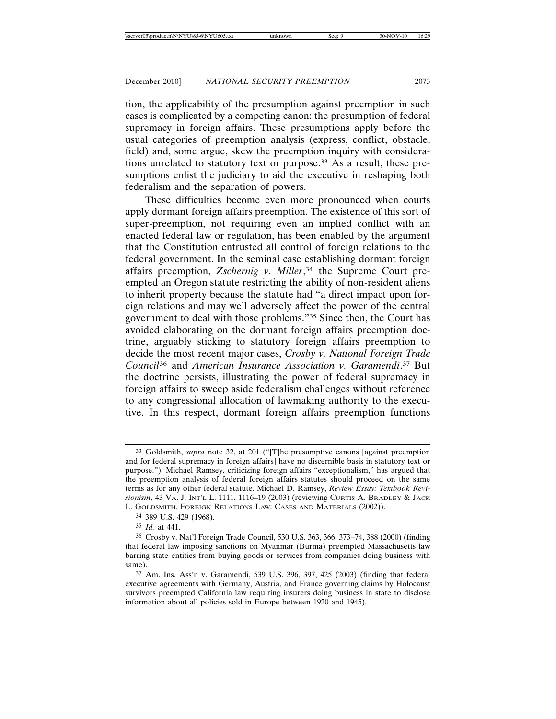tion, the applicability of the presumption against preemption in such cases is complicated by a competing canon: the presumption of federal supremacy in foreign affairs. These presumptions apply before the usual categories of preemption analysis (express, conflict, obstacle, field) and, some argue, skew the preemption inquiry with considerations unrelated to statutory text or purpose.33 As a result, these presumptions enlist the judiciary to aid the executive in reshaping both federalism and the separation of powers.

These difficulties become even more pronounced when courts apply dormant foreign affairs preemption. The existence of this sort of super-preemption, not requiring even an implied conflict with an enacted federal law or regulation, has been enabled by the argument that the Constitution entrusted all control of foreign relations to the federal government. In the seminal case establishing dormant foreign affairs preemption, *Zschernig v. Miller*, <sup>34</sup> the Supreme Court preempted an Oregon statute restricting the ability of non-resident aliens to inherit property because the statute had "a direct impact upon foreign relations and may well adversely affect the power of the central government to deal with those problems."35 Since then, the Court has avoided elaborating on the dormant foreign affairs preemption doctrine, arguably sticking to statutory foreign affairs preemption to decide the most recent major cases, *Crosby v. National Foreign Trade Council*<sup>36</sup> and *American Insurance Association v. Garamendi*. 37 But the doctrine persists, illustrating the power of federal supremacy in foreign affairs to sweep aside federalism challenges without reference to any congressional allocation of lawmaking authority to the executive. In this respect, dormant foreign affairs preemption functions

34 389 U.S. 429 (1968).

35 *Id.* at 441.

<sup>33</sup> Goldsmith, *supra* note 32, at 201 ("[T]he presumptive canons [against preemption and for federal supremacy in foreign affairs] have no discernible basis in statutory text or purpose."). Michael Ramsey, criticizing foreign affairs "exceptionalism," has argued that the preemption analysis of federal foreign affairs statutes should proceed on the same terms as for any other federal statute. Michael D. Ramsey, *Review Essay: Textbook Revisionism*, 43 VA. J. INT'L L. 1111, 1116–19 (2003) (reviewing CURTIS A. BRADLEY & JACK L. GOLDSMITH, FOREIGN RELATIONS LAW: CASES AND MATERIALS (2002)).

<sup>36</sup> Crosby v. Nat'l Foreign Trade Council, 530 U.S. 363, 366, 373–74, 388 (2000) (finding that federal law imposing sanctions on Myanmar (Burma) preempted Massachusetts law barring state entities from buying goods or services from companies doing business with same).

<sup>37</sup> Am. Ins. Ass'n v. Garamendi, 539 U.S. 396, 397, 425 (2003) (finding that federal executive agreements with Germany, Austria, and France governing claims by Holocaust survivors preempted California law requiring insurers doing business in state to disclose information about all policies sold in Europe between 1920 and 1945).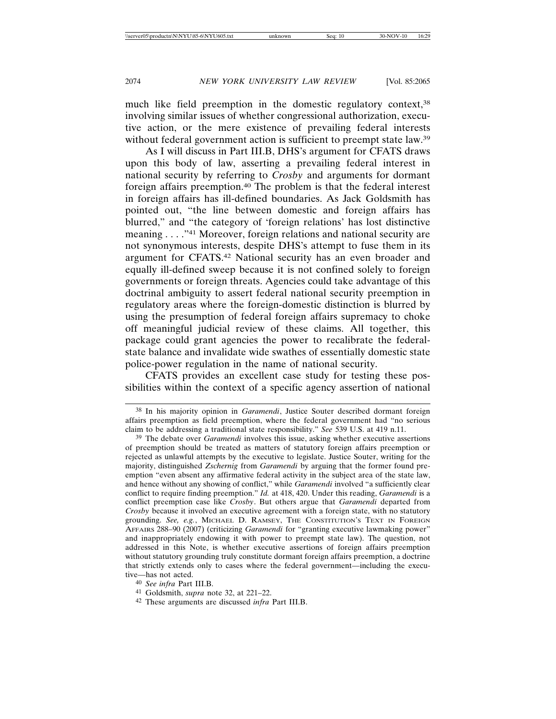much like field preemption in the domestic regulatory context,<sup>38</sup> involving similar issues of whether congressional authorization, executive action, or the mere existence of prevailing federal interests without federal government action is sufficient to preempt state law.<sup>39</sup>

As I will discuss in Part III.B, DHS's argument for CFATS draws upon this body of law, asserting a prevailing federal interest in national security by referring to *Crosby* and arguments for dormant foreign affairs preemption.40 The problem is that the federal interest in foreign affairs has ill-defined boundaries. As Jack Goldsmith has pointed out, "the line between domestic and foreign affairs has blurred," and "the category of 'foreign relations' has lost distinctive meaning . . . ."41 Moreover, foreign relations and national security are not synonymous interests, despite DHS's attempt to fuse them in its argument for CFATS.42 National security has an even broader and equally ill-defined sweep because it is not confined solely to foreign governments or foreign threats. Agencies could take advantage of this doctrinal ambiguity to assert federal national security preemption in regulatory areas where the foreign-domestic distinction is blurred by using the presumption of federal foreign affairs supremacy to choke off meaningful judicial review of these claims. All together, this package could grant agencies the power to recalibrate the federalstate balance and invalidate wide swathes of essentially domestic state police-power regulation in the name of national security.

CFATS provides an excellent case study for testing these possibilities within the context of a specific agency assertion of national

<sup>38</sup> In his majority opinion in *Garamendi*, Justice Souter described dormant foreign affairs preemption as field preemption, where the federal government had "no serious claim to be addressing a traditional state responsibility." *See* 539 U.S. at 419 n.11.

<sup>39</sup> The debate over *Garamendi* involves this issue, asking whether executive assertions of preemption should be treated as matters of statutory foreign affairs preemption or rejected as unlawful attempts by the executive to legislate. Justice Souter, writing for the majority, distinguished *Zschernig* from *Garamendi* by arguing that the former found preemption "even absent any affirmative federal activity in the subject area of the state law, and hence without any showing of conflict," while *Garamendi* involved "a sufficiently clear conflict to require finding preemption." *Id.* at 418, 420. Under this reading, *Garamendi* is a conflict preemption case like *Crosby*. But others argue that *Garamendi* departed from *Crosby* because it involved an executive agreement with a foreign state, with no statutory grounding. *See, e.g.*, MICHAEL D. RAMSEY, THE CONSTITUTION'S TEXT IN FOREIGN AFFAIRS 288–90 (2007) (criticizing *Garamendi* for "granting executive lawmaking power" and inappropriately endowing it with power to preempt state law). The question, not addressed in this Note, is whether executive assertions of foreign affairs preemption without statutory grounding truly constitute dormant foreign affairs preemption, a doctrine that strictly extends only to cases where the federal government—including the executive—has not acted.

<sup>40</sup> *See infra* Part III.B.

<sup>41</sup> Goldsmith, *supra* note 32, at 221–22.

<sup>42</sup> These arguments are discussed *infra* Part III.B.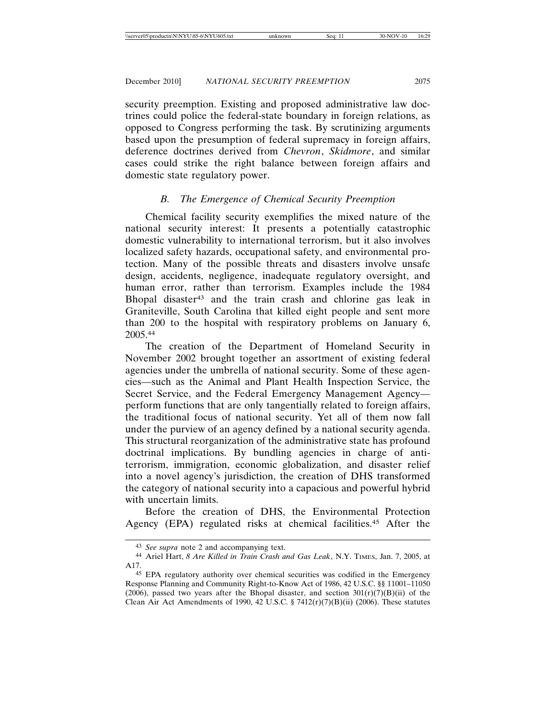security preemption. Existing and proposed administrative law doctrines could police the federal-state boundary in foreign relations, as opposed to Congress performing the task. By scrutinizing arguments based upon the presumption of federal supremacy in foreign affairs, deference doctrines derived from *Chevron*, *Skidmore*, and similar cases could strike the right balance between foreign affairs and domestic state regulatory power.

# *B. The Emergence of Chemical Security Preemption*

Chemical facility security exemplifies the mixed nature of the national security interest: It presents a potentially catastrophic domestic vulnerability to international terrorism, but it also involves localized safety hazards, occupational safety, and environmental protection. Many of the possible threats and disasters involve unsafe design, accidents, negligence, inadequate regulatory oversight, and human error, rather than terrorism. Examples include the 1984 Bhopal disaster43 and the train crash and chlorine gas leak in Graniteville, South Carolina that killed eight people and sent more than 200 to the hospital with respiratory problems on January 6, 2005.44

The creation of the Department of Homeland Security in November 2002 brought together an assortment of existing federal agencies under the umbrella of national security. Some of these agencies—such as the Animal and Plant Health Inspection Service, the Secret Service, and the Federal Emergency Management Agency perform functions that are only tangentially related to foreign affairs, the traditional focus of national security. Yet all of them now fall under the purview of an agency defined by a national security agenda. This structural reorganization of the administrative state has profound doctrinal implications. By bundling agencies in charge of antiterrorism, immigration, economic globalization, and disaster relief into a novel agency's jurisdiction, the creation of DHS transformed the category of national security into a capacious and powerful hybrid with uncertain limits.

Before the creation of DHS, the Environmental Protection Agency (EPA) regulated risks at chemical facilities.45 After the

<sup>43</sup> *See supra* note 2 and accompanying text.

<sup>44</sup> Ariel Hart, *8 Are Killed in Train Crash and Gas Leak*, N.Y. TIMES, Jan. 7, 2005, at A17.

<sup>45</sup> EPA regulatory authority over chemical securities was codified in the Emergency Response Planning and Community Right-to-Know Act of 1986, 42 U.S.C. §§ 11001–11050 (2006), passed two years after the Bhopal disaster, and section  $301(r)(7)(B)(ii)$  of the Clean Air Act Amendments of 1990, 42 U.S.C. § 7412(r)(7)(B)(ii) (2006). These statutes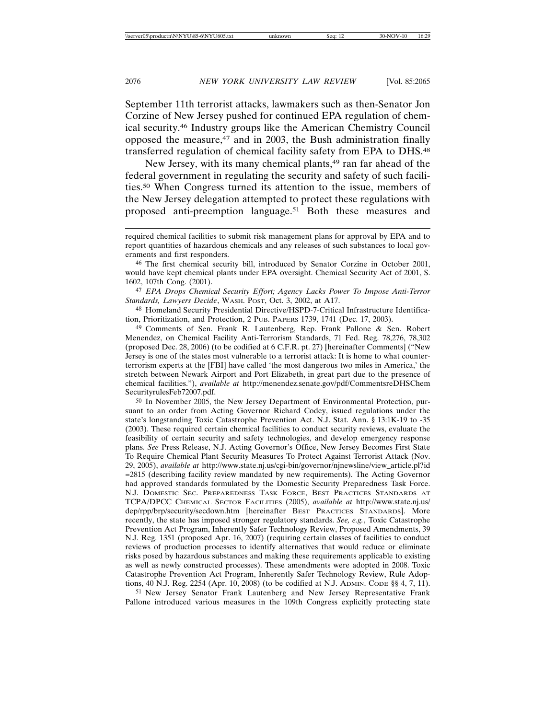September 11th terrorist attacks, lawmakers such as then-Senator Jon Corzine of New Jersey pushed for continued EPA regulation of chemical security.46 Industry groups like the American Chemistry Council opposed the measure, $47$  and in 2003, the Bush administration finally transferred regulation of chemical facility safety from EPA to DHS.48

New Jersey, with its many chemical plants,<sup>49</sup> ran far ahead of the federal government in regulating the security and safety of such facilities.50 When Congress turned its attention to the issue, members of the New Jersey delegation attempted to protect these regulations with proposed anti-preemption language.51 Both these measures and

47 *EPA Drops Chemical Security Effort; Agency Lacks Power To Impose Anti-Terror Standards, Lawyers Decide*, WASH. POST, Oct. 3, 2002, at A17.

48 Homeland Security Presidential Directive/HSPD-7-Critical Infrastructure Identification, Prioritization, and Protection, 2 PUB. PAPERS 1739, 1741 (Dec. 17, 2003).

49 Comments of Sen. Frank R. Lautenberg, Rep. Frank Pallone & Sen. Robert Menendez, on Chemical Facility Anti-Terrorism Standards, 71 Fed. Reg. 78,276, 78,302 (proposed Dec. 28, 2006) (to be codified at 6 C.F.R. pt. 27) [hereinafter Comments] ("New Jersey is one of the states most vulnerable to a terrorist attack: It is home to what counterterrorism experts at the [FBI] have called 'the most dangerous two miles in America,' the stretch between Newark Airport and Port Elizabeth, in great part due to the presence of chemical facilities."), *available at* http://menendez.senate.gov/pdf/CommentsreDHSChem SecurityrulesFeb72007.pdf.

50 In November 2005, the New Jersey Department of Environmental Protection, pursuant to an order from Acting Governor Richard Codey, issued regulations under the state's longstanding Toxic Catastrophe Prevention Act. N.J. Stat. Ann. § 13:1K-19 to -35 (2003). These required certain chemical facilities to conduct security reviews, evaluate the feasibility of certain security and safety technologies, and develop emergency response plans. *See* Press Release, N.J. Acting Governor's Office, New Jersey Becomes First State To Require Chemical Plant Security Measures To Protect Against Terrorist Attack (Nov. 29, 2005), *available at* http://www.state.nj.us/cgi-bin/governor/njnewsline/view\_article.pl?id =2815 (describing facility review mandated by new requirements). The Acting Governor had approved standards formulated by the Domestic Security Preparedness Task Force. N.J. DOMESTIC SEC. PREPAREDNESS TASK FORCE, BEST PRACTICES STANDARDS AT TCPA/DPCC CHEMICAL SECTOR FACILITIES (2005), *available at* http://www.state.nj.us/ dep/rpp/brp/security/secdown.htm [hereinafter BEST PRACTICES STANDARDS]. More recently, the state has imposed stronger regulatory standards. *See, e.g.*, Toxic Catastrophe Prevention Act Program, Inherently Safer Technology Review, Proposed Amendments, 39 N.J. Reg. 1351 (proposed Apr. 16, 2007) (requiring certain classes of facilities to conduct reviews of production processes to identify alternatives that would reduce or eliminate risks posed by hazardous substances and making these requirements applicable to existing as well as newly constructed processes). These amendments were adopted in 2008. Toxic Catastrophe Prevention Act Program, Inherently Safer Technology Review, Rule Adoptions, 40 N.J. Reg. 2254 (Apr. 10, 2008) (to be codified at N.J. ADMIN. CODE §§ 4, 7, 11).

51 New Jersey Senator Frank Lautenberg and New Jersey Representative Frank Pallone introduced various measures in the 109th Congress explicitly protecting state

required chemical facilities to submit risk management plans for approval by EPA and to report quantities of hazardous chemicals and any releases of such substances to local governments and first responders.

<sup>46</sup> The first chemical security bill, introduced by Senator Corzine in October 2001, would have kept chemical plants under EPA oversight. Chemical Security Act of 2001, S. 1602, 107th Cong. (2001).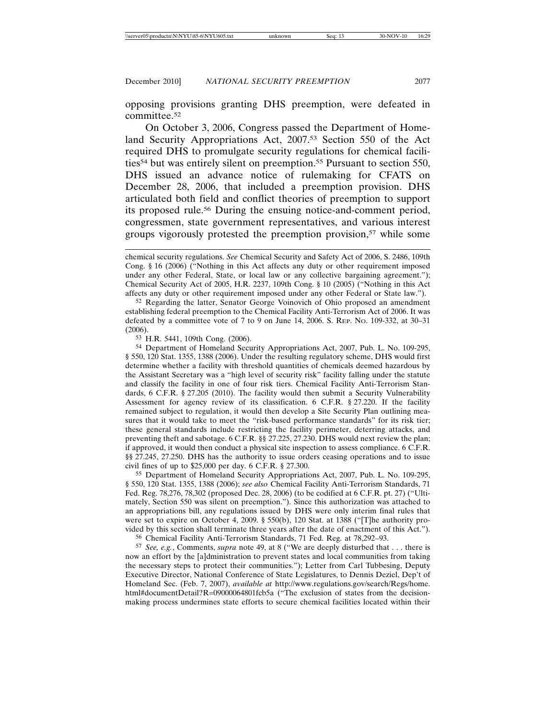opposing provisions granting DHS preemption, were defeated in committee.52

On October 3, 2006, Congress passed the Department of Homeland Security Appropriations Act, 2007.53 Section 550 of the Act required DHS to promulgate security regulations for chemical facilities<sup>54</sup> but was entirely silent on preemption.<sup>55</sup> Pursuant to section 550, DHS issued an advance notice of rulemaking for CFATS on December 28, 2006, that included a preemption provision. DHS articulated both field and conflict theories of preemption to support its proposed rule.56 During the ensuing notice-and-comment period, congressmen, state government representatives, and various interest groups vigorously protested the preemption provision,<sup>57</sup> while some

52 Regarding the latter, Senator George Voinovich of Ohio proposed an amendment establishing federal preemption to the Chemical Facility Anti-Terrorism Act of 2006. It was defeated by a committee vote of 7 to 9 on June 14, 2006. S. REP. NO. 109-332, at 30–31 (2006).

53 H.R. 5441, 109th Cong. (2006).

54 Department of Homeland Security Appropriations Act, 2007, Pub. L. No. 109-295, § 550, 120 Stat. 1355, 1388 (2006). Under the resulting regulatory scheme, DHS would first determine whether a facility with threshold quantities of chemicals deemed hazardous by the Assistant Secretary was a "high level of security risk" facility falling under the statute and classify the facility in one of four risk tiers. Chemical Facility Anti-Terrorism Standards, 6 C.F.R. § 27.205 (2010). The facility would then submit a Security Vulnerability Assessment for agency review of its classification. 6 C.F.R. § 27.220. If the facility remained subject to regulation, it would then develop a Site Security Plan outlining measures that it would take to meet the "risk-based performance standards" for its risk tier; these general standards include restricting the facility perimeter, deterring attacks, and preventing theft and sabotage. 6 C.F.R. §§ 27.225, 27.230. DHS would next review the plan; if approved, it would then conduct a physical site inspection to assess compliance. 6 C.F.R. §§ 27.245, 27.250. DHS has the authority to issue orders ceasing operations and to issue civil fines of up to \$25,000 per day. 6 C.F.R. § 27.300.

55 Department of Homeland Security Appropriations Act, 2007, Pub. L. No. 109-295, § 550, 120 Stat. 1355, 1388 (2006); *see also* Chemical Facility Anti-Terrorism Standards, 71 Fed. Reg. 78,276, 78,302 (proposed Dec. 28, 2006) (to be codified at 6 C.F.R. pt. 27) ("Ultimately, Section 550 was silent on preemption."). Since this authorization was attached to an appropriations bill, any regulations issued by DHS were only interim final rules that were set to expire on October 4, 2009. § 550(b), 120 Stat. at 1388 ("[T]he authority provided by this section shall terminate three years after the date of enactment of this Act.").

56 Chemical Facility Anti-Terrorism Standards, 71 Fed. Reg. at 78,292–93.

57 *See, e.g.*, Comments, *supra* note 49, at 8 ("We are deeply disturbed that . . . there is now an effort by the [a]dministration to prevent states and local communities from taking the necessary steps to protect their communities."); Letter from Carl Tubbesing, Deputy Executive Director, National Conference of State Legislatures, to Dennis Deziel, Dep't of Homeland Sec. (Feb. 7, 2007), *available at* http://www.regulations.gov/search/Regs/home. html#documentDetail?R=09000064801fcb5a ("The exclusion of states from the decisionmaking process undermines state efforts to secure chemical facilities located within their

chemical security regulations. *See* Chemical Security and Safety Act of 2006, S. 2486, 109th Cong. § 16 (2006) ("Nothing in this Act affects any duty or other requirement imposed under any other Federal, State, or local law or any collective bargaining agreement."); Chemical Security Act of 2005, H.R. 2237, 109th Cong. § 10 (2005) ("Nothing in this Act affects any duty or other requirement imposed under any other Federal or State law.").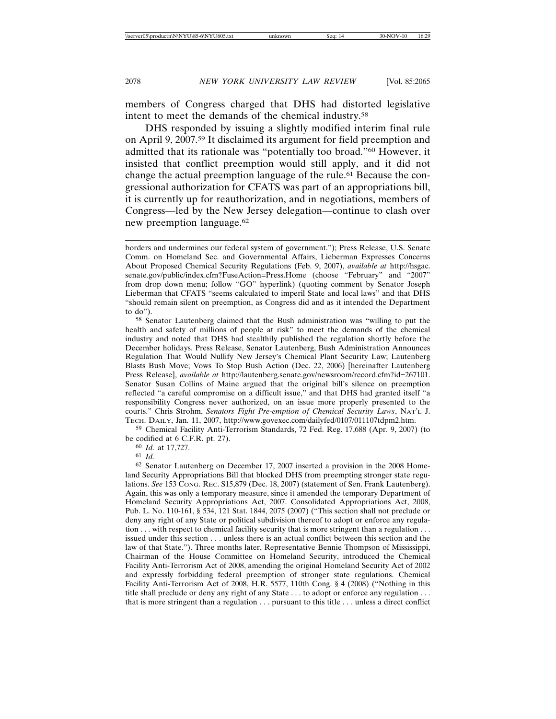members of Congress charged that DHS had distorted legislative intent to meet the demands of the chemical industry.58

DHS responded by issuing a slightly modified interim final rule on April 9, 2007.59 It disclaimed its argument for field preemption and admitted that its rationale was "potentially too broad."60 However, it insisted that conflict preemption would still apply, and it did not change the actual preemption language of the rule.<sup>61</sup> Because the congressional authorization for CFATS was part of an appropriations bill, it is currently up for reauthorization, and in negotiations, members of Congress—led by the New Jersey delegation—continue to clash over new preemption language.62

59 Chemical Facility Anti-Terrorism Standards, 72 Fed. Reg. 17,688 (Apr. 9, 2007) (to be codified at 6 C.F.R. pt. 27).

60 *Id.* at 17,727.

61 *Id.*

62 Senator Lautenberg on December 17, 2007 inserted a provision in the 2008 Homeland Security Appropriations Bill that blocked DHS from preempting stronger state regulations. *See* 153 CONG. REC. S15,879 (Dec. 18, 2007) (statement of Sen. Frank Lautenberg). Again, this was only a temporary measure, since it amended the temporary Department of Homeland Security Appropriations Act, 2007. Consolidated Appropriations Act, 2008, Pub. L. No. 110-161, § 534, 121 Stat. 1844, 2075 (2007) ("This section shall not preclude or deny any right of any State or political subdivision thereof to adopt or enforce any regulation . . . with respect to chemical facility security that is more stringent than a regulation . . . issued under this section . . . unless there is an actual conflict between this section and the law of that State."). Three months later, Representative Bennie Thompson of Mississippi, Chairman of the House Committee on Homeland Security, introduced the Chemical Facility Anti-Terrorism Act of 2008, amending the original Homeland Security Act of 2002 and expressly forbidding federal preemption of stronger state regulations. Chemical Facility Anti-Terrorism Act of 2008, H.R. 5577, 110th Cong. § 4 (2008) ("Nothing in this title shall preclude or deny any right of any State . . . to adopt or enforce any regulation . . . that is more stringent than a regulation . . . pursuant to this title . . . unless a direct conflict

borders and undermines our federal system of government."); Press Release, U.S. Senate Comm. on Homeland Sec. and Governmental Affairs, Lieberman Expresses Concerns About Proposed Chemical Security Regulations (Feb. 9, 2007), *available at* http://hsgac. senate.gov/public/index.cfm?FuseAction=Press.Home (choose "February" and "2007" from drop down menu; follow "GO" hyperlink) (quoting comment by Senator Joseph Lieberman that CFATS "seems calculated to imperil State and local laws" and that DHS "should remain silent on preemption, as Congress did and as it intended the Department to do").

<sup>58</sup> Senator Lautenberg claimed that the Bush administration was "willing to put the health and safety of millions of people at risk" to meet the demands of the chemical industry and noted that DHS had stealthily published the regulation shortly before the December holidays. Press Release, Senator Lautenberg, Bush Administration Announces Regulation That Would Nullify New Jersey's Chemical Plant Security Law; Lautenberg Blasts Bush Move; Vows To Stop Bush Action (Dec. 22, 2006) [hereinafter Lautenberg Press Release], *available at* http://lautenberg.senate.gov/newsroom/record.cfm?id=267101. Senator Susan Collins of Maine argued that the original bill's silence on preemption reflected "a careful compromise on a difficult issue," and that DHS had granted itself "a responsibility Congress never authorized, on an issue more properly presented to the courts." Chris Strohm, *Senators Fight Pre-emption of Chemical Security Laws*, NAT'L J. TECH. DAILY, Jan. 11, 2007, http://www.govexec.com/dailyfed/0107/011107tdpm2.htm.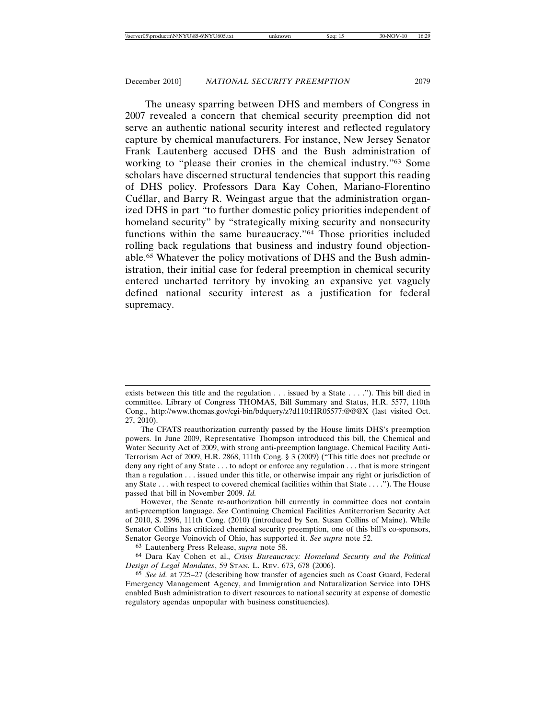The uneasy sparring between DHS and members of Congress in 2007 revealed a concern that chemical security preemption did not serve an authentic national security interest and reflected regulatory capture by chemical manufacturers. For instance, New Jersey Senator Frank Lautenberg accused DHS and the Bush administration of working to "please their cronies in the chemical industry."63 Some scholars have discerned structural tendencies that support this reading of DHS policy. Professors Dara Kay Cohen, Mariano-Florentino Cuéllar, and Barry R. Weingast argue that the administration organized DHS in part "to further domestic policy priorities independent of homeland security" by "strategically mixing security and nonsecurity functions within the same bureaucracy."64 Those priorities included rolling back regulations that business and industry found objectionable.65 Whatever the policy motivations of DHS and the Bush administration, their initial case for federal preemption in chemical security entered uncharted territory by invoking an expansive yet vaguely defined national security interest as a justification for federal supremacy.

exists between this title and the regulation . . . issued by a State . . . ."). This bill died in committee. Library of Congress THOMAS, Bill Summary and Status, H.R. 5577, 110th Cong., http://www.thomas.gov/cgi-bin/bdquery/z?d110:HR05577:@@@X (last visited Oct. 27, 2010).

The CFATS reauthorization currently passed by the House limits DHS's preemption powers. In June 2009, Representative Thompson introduced this bill, the Chemical and Water Security Act of 2009, with strong anti-preemption language. Chemical Facility Anti-Terrorism Act of 2009, H.R. 2868, 111th Cong. § 3 (2009) ("This title does not preclude or deny any right of any State . . . to adopt or enforce any regulation . . . that is more stringent than a regulation . . . issued under this title, or otherwise impair any right or jurisdiction of any State . . . with respect to covered chemical facilities within that State . . . ."). The House passed that bill in November 2009. *Id.*

However, the Senate re-authorization bill currently in committee does not contain anti-preemption language. *See* Continuing Chemical Facilities Antiterrorism Security Act of 2010, S. 2996, 111th Cong. (2010) (introduced by Sen. Susan Collins of Maine). While Senator Collins has criticized chemical security preemption, one of this bill's co-sponsors, Senator George Voinovich of Ohio, has supported it. *See supra* note 52.

<sup>63</sup> Lautenberg Press Release, *supra* note 58.

<sup>64</sup> Dara Kay Cohen et al., *Crisis Bureaucracy: Homeland Security and the Political Design of Legal Mandates*, 59 STAN. L. REV. 673, 678 (2006).

<sup>65</sup> *See id.* at 725–27 (describing how transfer of agencies such as Coast Guard, Federal Emergency Management Agency, and Immigration and Naturalization Service into DHS enabled Bush administration to divert resources to national security at expense of domestic regulatory agendas unpopular with business constituencies).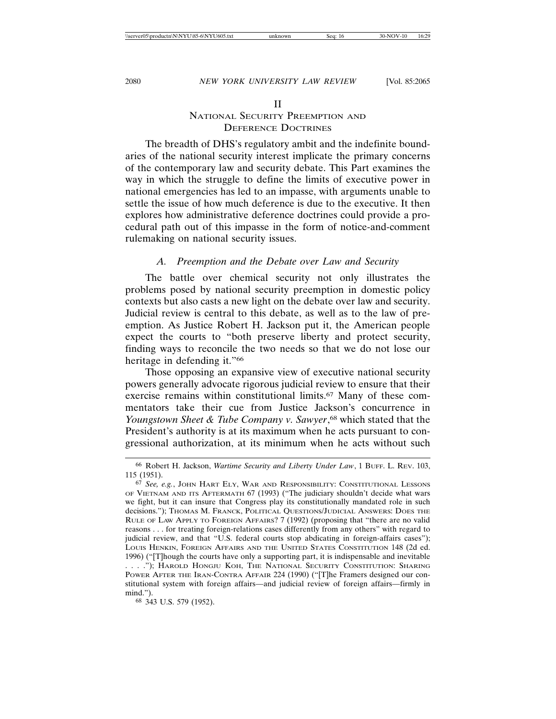### NATIONAL SECURITY PREEMPTION AND DEFERENCE DOCTRINES

The breadth of DHS's regulatory ambit and the indefinite boundaries of the national security interest implicate the primary concerns of the contemporary law and security debate. This Part examines the way in which the struggle to define the limits of executive power in national emergencies has led to an impasse, with arguments unable to settle the issue of how much deference is due to the executive. It then explores how administrative deference doctrines could provide a procedural path out of this impasse in the form of notice-and-comment rulemaking on national security issues.

### *A. Preemption and the Debate over Law and Security*

The battle over chemical security not only illustrates the problems posed by national security preemption in domestic policy contexts but also casts a new light on the debate over law and security. Judicial review is central to this debate, as well as to the law of preemption. As Justice Robert H. Jackson put it, the American people expect the courts to "both preserve liberty and protect security, finding ways to reconcile the two needs so that we do not lose our heritage in defending it."<sup>66</sup>

Those opposing an expansive view of executive national security powers generally advocate rigorous judicial review to ensure that their exercise remains within constitutional limits.<sup>67</sup> Many of these commentators take their cue from Justice Jackson's concurrence in *Youngstown Sheet & Tube Company v. Sawyer*, 68 which stated that the President's authority is at its maximum when he acts pursuant to congressional authorization, at its minimum when he acts without such

68 343 U.S. 579 (1952).

<sup>66</sup> Robert H. Jackson, *Wartime Security and Liberty Under Law*, 1 BUFF. L. REV. 103, 115 (1951).

<sup>67</sup> *See, e.g.*, JOHN HART ELY, WAR AND RESPONSIBILITY: CONSTITUTIONAL LESSONS OF VIETNAM AND ITS AFTERMATH 67 (1993) ("The judiciary shouldn't decide what wars we fight, but it can insure that Congress play its constitutionally mandated role in such decisions."); THOMAS M. FRANCK, POLITICAL QUESTIONS/JUDICIAL ANSWERS: DOES THE RULE OF LAW APPLY TO FOREIGN AFFAIRS? 7 (1992) (proposing that "there are no valid reasons . . . for treating foreign-relations cases differently from any others" with regard to judicial review, and that "U.S. federal courts stop abdicating in foreign-affairs cases"); LOUIS HENKIN, FOREIGN AFFAIRS AND THE UNITED STATES CONSTITUTION 148 (2d ed. 1996) ("[T]hough the courts have only a supporting part, it is indispensable and inevitable

<sup>. . . .&</sup>quot;); HAROLD HONGJU KOH, THE NATIONAL SECURITY CONSTITUTION: SHARING POWER AFTER THE IRAN-CONTRA AFFAIR 224 (1990) ("[T]he Framers designed our constitutional system with foreign affairs—and judicial review of foreign affairs—firmly in mind.").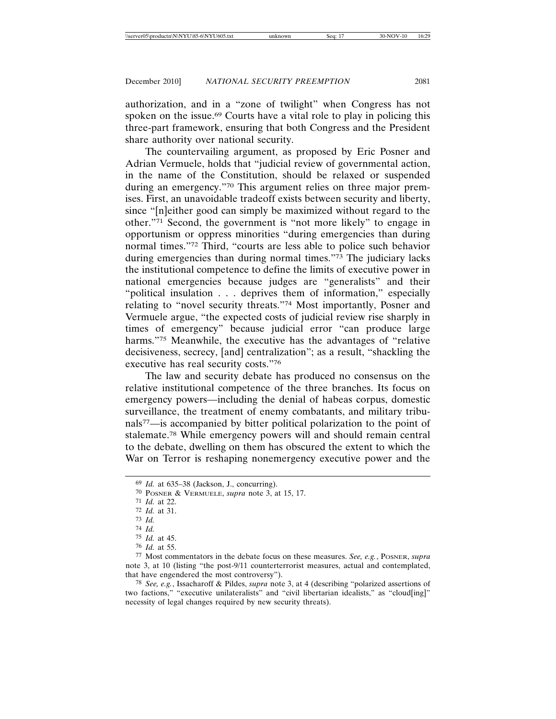authorization, and in a "zone of twilight" when Congress has not spoken on the issue.<sup>69</sup> Courts have a vital role to play in policing this three-part framework, ensuring that both Congress and the President share authority over national security.

The countervailing argument, as proposed by Eric Posner and Adrian Vermuele, holds that "judicial review of governmental action, in the name of the Constitution, should be relaxed or suspended during an emergency."70 This argument relies on three major premises. First, an unavoidable tradeoff exists between security and liberty, since "[n]either good can simply be maximized without regard to the other."71 Second, the government is "not more likely" to engage in opportunism or oppress minorities "during emergencies than during normal times."72 Third, "courts are less able to police such behavior during emergencies than during normal times."73 The judiciary lacks the institutional competence to define the limits of executive power in national emergencies because judges are "generalists" and their "political insulation . . . deprives them of information," especially relating to "novel security threats."74 Most importantly, Posner and Vermuele argue, "the expected costs of judicial review rise sharply in times of emergency" because judicial error "can produce large harms."<sup>75</sup> Meanwhile, the executive has the advantages of "relative decisiveness, secrecy, [and] centralization"; as a result, "shackling the executive has real security costs."76

The law and security debate has produced no consensus on the relative institutional competence of the three branches. Its focus on emergency powers—including the denial of habeas corpus, domestic surveillance, the treatment of enemy combatants, and military tribunals77—is accompanied by bitter political polarization to the point of stalemate.78 While emergency powers will and should remain central to the debate, dwelling on them has obscured the extent to which the War on Terror is reshaping nonemergency executive power and the

77 Most commentators in the debate focus on these measures. *See, e.g.*, POSNER, *supra* note 3, at 10 (listing "the post-9/11 counterterrorist measures, actual and contemplated, that have engendered the most controversy").

78 *See, e.g.*, Issacharoff & Pildes, *supra* note 3, at 4 (describing "polarized assertions of two factions," "executive unilateralists" and "civil libertarian idealists," as "cloud[ing]" necessity of legal changes required by new security threats).

<sup>69</sup> *Id.* at 635–38 (Jackson, J., concurring).

<sup>70</sup> POSNER & VERMUELE, *supra* note 3, at 15, 17.

<sup>71</sup> *Id.* at 22.

<sup>72</sup> *Id.* at 31.

<sup>73</sup> *Id.*

<sup>74</sup> *Id.*

<sup>75</sup> *Id.* at 45.

<sup>76</sup> *Id.* at 55.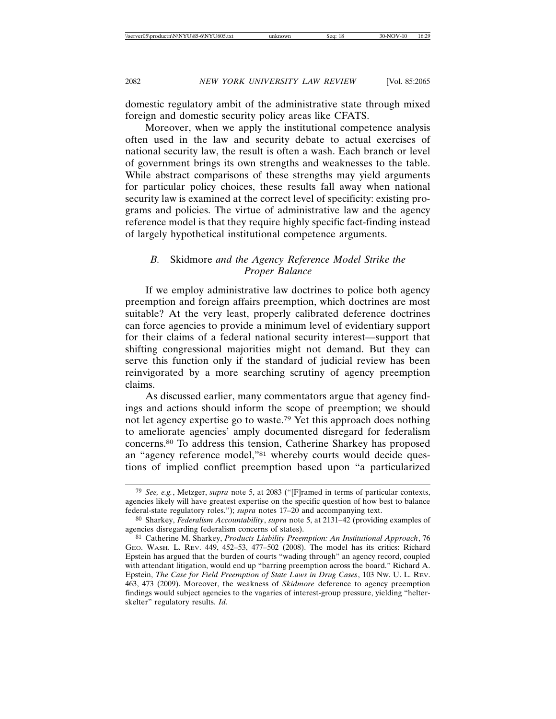domestic regulatory ambit of the administrative state through mixed foreign and domestic security policy areas like CFATS.

Moreover, when we apply the institutional competence analysis often used in the law and security debate to actual exercises of national security law, the result is often a wash. Each branch or level of government brings its own strengths and weaknesses to the table. While abstract comparisons of these strengths may yield arguments for particular policy choices, these results fall away when national security law is examined at the correct level of specificity: existing programs and policies. The virtue of administrative law and the agency reference model is that they require highly specific fact-finding instead of largely hypothetical institutional competence arguments.

### *B.* Skidmore *and the Agency Reference Model Strike the Proper Balance*

If we employ administrative law doctrines to police both agency preemption and foreign affairs preemption, which doctrines are most suitable? At the very least, properly calibrated deference doctrines can force agencies to provide a minimum level of evidentiary support for their claims of a federal national security interest—support that shifting congressional majorities might not demand. But they can serve this function only if the standard of judicial review has been reinvigorated by a more searching scrutiny of agency preemption claims.

As discussed earlier, many commentators argue that agency findings and actions should inform the scope of preemption; we should not let agency expertise go to waste.79 Yet this approach does nothing to ameliorate agencies' amply documented disregard for federalism concerns.80 To address this tension, Catherine Sharkey has proposed an "agency reference model,"81 whereby courts would decide questions of implied conflict preemption based upon "a particularized

<sup>79</sup> *See, e.g.*, Metzger, *supra* note 5, at 2083 ("[F]ramed in terms of particular contexts, agencies likely will have greatest expertise on the specific question of how best to balance federal-state regulatory roles."); *supra* notes 17–20 and accompanying text.

<sup>80</sup> Sharkey, *Federalism Accountability*, *supra* note 5, at 2131–42 (providing examples of agencies disregarding federalism concerns of states).

<sup>81</sup> Catherine M. Sharkey, *Products Liability Preemption: An Institutional Approach*, 76 GEO. WASH. L. REV. 449, 452–53, 477–502 (2008). The model has its critics: Richard Epstein has argued that the burden of courts "wading through" an agency record, coupled with attendant litigation, would end up "barring preemption across the board." Richard A. Epstein, *The Case for Field Preemption of State Laws in Drug Cases*, 103 NW. U. L. REV. 463, 473 (2009). Moreover, the weakness of *Skidmore* deference to agency preemption findings would subject agencies to the vagaries of interest-group pressure, yielding "helterskelter" regulatory results. *Id.*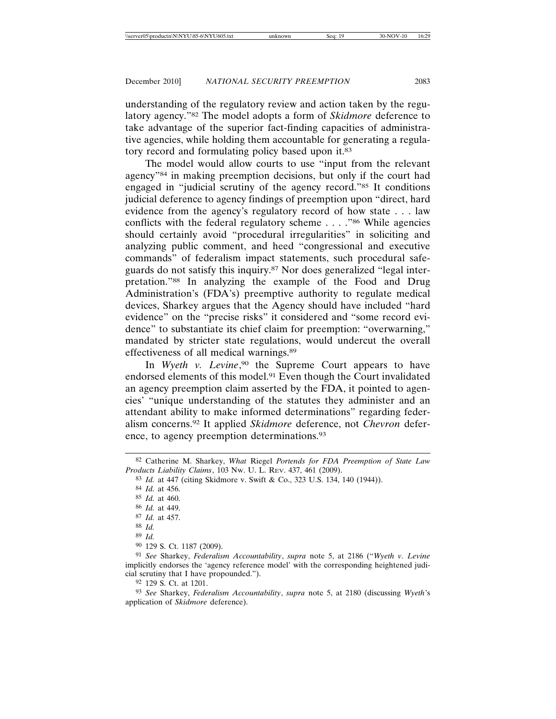understanding of the regulatory review and action taken by the regulatory agency."82 The model adopts a form of *Skidmore* deference to take advantage of the superior fact-finding capacities of administrative agencies, while holding them accountable for generating a regulatory record and formulating policy based upon it.<sup>83</sup>

The model would allow courts to use "input from the relevant agency"84 in making preemption decisions, but only if the court had engaged in "judicial scrutiny of the agency record."85 It conditions judicial deference to agency findings of preemption upon "direct, hard evidence from the agency's regulatory record of how state . . . law conflicts with the federal regulatory scheme . . . ."86 While agencies should certainly avoid "procedural irregularities" in soliciting and analyzing public comment, and heed "congressional and executive commands" of federalism impact statements, such procedural safeguards do not satisfy this inquiry.87 Nor does generalized "legal interpretation."88 In analyzing the example of the Food and Drug Administration's (FDA's) preemptive authority to regulate medical devices, Sharkey argues that the Agency should have included "hard evidence" on the "precise risks" it considered and "some record evidence" to substantiate its chief claim for preemption: "overwarning," mandated by stricter state regulations, would undercut the overall effectiveness of all medical warnings.89

In Wyeth v. Levine,<sup>90</sup> the Supreme Court appears to have endorsed elements of this model.91 Even though the Court invalidated an agency preemption claim asserted by the FDA, it pointed to agencies' "unique understanding of the statutes they administer and an attendant ability to make informed determinations" regarding federalism concerns.92 It applied *Skidmore* deference, not *Chevron* deference, to agency preemption determinations.93

<sup>82</sup> Catherine M. Sharkey, *What* Riegel *Portends for FDA Preemption of State Law Products Liability Claims*, 103 NW. U. L. REV. 437, 461 (2009).

<sup>83</sup> *Id.* at 447 (citing Skidmore v. Swift & Co., 323 U.S. 134, 140 (1944)).

<sup>84</sup> *Id.* at 456.

<sup>85</sup> *Id.* at 460.

<sup>86</sup> *Id.* at 449.

<sup>87</sup> *Id.* at 457.

<sup>88</sup> *Id.*

<sup>89</sup> *Id.*

<sup>90</sup> 129 S. Ct. 1187 (2009).

<sup>91</sup> *See* Sharkey, *Federalism Accountability*, *supra* note 5, at 2186 ("*Wyeth v. Levine* implicitly endorses the 'agency reference model' with the corresponding heightened judicial scrutiny that I have propounded.").

<sup>92</sup> 129 S. Ct. at 1201.

<sup>93</sup> *See* Sharkey, *Federalism Accountability*, *supra* note 5, at 2180 (discussing *Wyeth*'s application of *Skidmore* deference).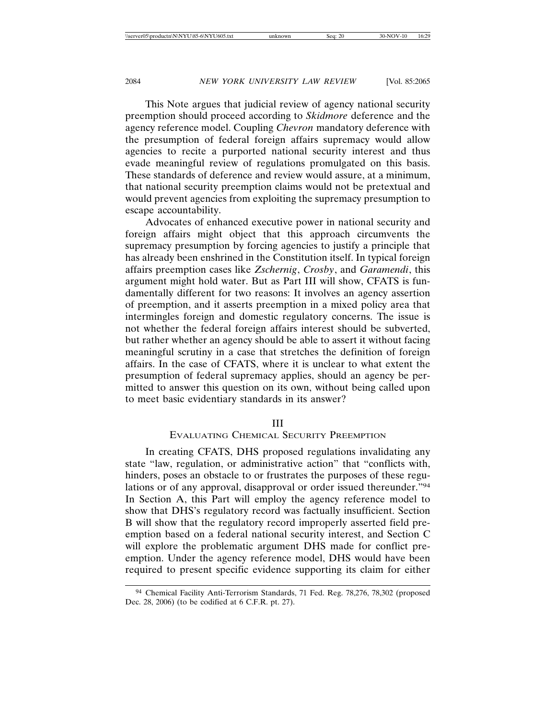This Note argues that judicial review of agency national security preemption should proceed according to *Skidmore* deference and the agency reference model. Coupling *Chevron* mandatory deference with the presumption of federal foreign affairs supremacy would allow agencies to recite a purported national security interest and thus evade meaningful review of regulations promulgated on this basis. These standards of deference and review would assure, at a minimum, that national security preemption claims would not be pretextual and would prevent agencies from exploiting the supremacy presumption to escape accountability.

Advocates of enhanced executive power in national security and foreign affairs might object that this approach circumvents the supremacy presumption by forcing agencies to justify a principle that has already been enshrined in the Constitution itself. In typical foreign affairs preemption cases like *Zschernig*, *Crosby*, and *Garamendi*, this argument might hold water. But as Part III will show, CFATS is fundamentally different for two reasons: It involves an agency assertion of preemption, and it asserts preemption in a mixed policy area that intermingles foreign and domestic regulatory concerns. The issue is not whether the federal foreign affairs interest should be subverted, but rather whether an agency should be able to assert it without facing meaningful scrutiny in a case that stretches the definition of foreign affairs. In the case of CFATS, where it is unclear to what extent the presumption of federal supremacy applies, should an agency be permitted to answer this question on its own, without being called upon to meet basic evidentiary standards in its answer?

#### III

#### EVALUATING CHEMICAL SECURITY PREEMPTION

In creating CFATS, DHS proposed regulations invalidating any state "law, regulation, or administrative action" that "conflicts with, hinders, poses an obstacle to or frustrates the purposes of these regulations or of any approval, disapproval or order issued thereunder."94 In Section A, this Part will employ the agency reference model to show that DHS's regulatory record was factually insufficient. Section B will show that the regulatory record improperly asserted field preemption based on a federal national security interest, and Section C will explore the problematic argument DHS made for conflict preemption. Under the agency reference model, DHS would have been required to present specific evidence supporting its claim for either

<sup>94</sup> Chemical Facility Anti-Terrorism Standards, 71 Fed. Reg. 78,276, 78,302 (proposed Dec. 28, 2006) (to be codified at 6 C.F.R. pt. 27).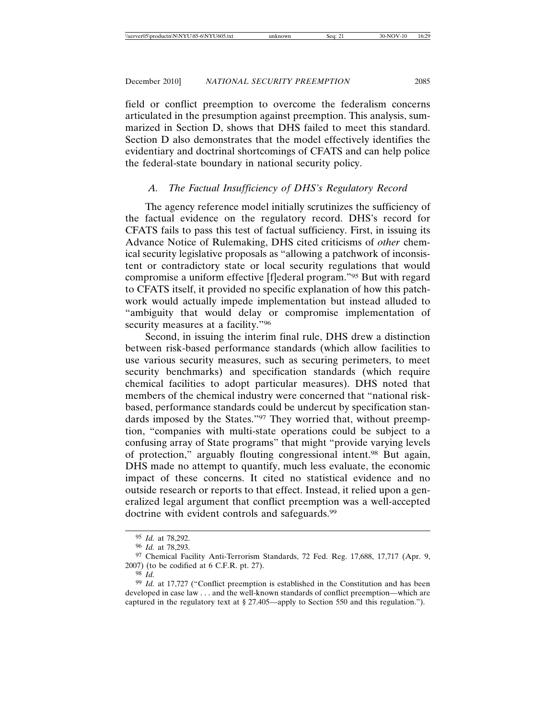field or conflict preemption to overcome the federalism concerns articulated in the presumption against preemption. This analysis, summarized in Section D, shows that DHS failed to meet this standard. Section D also demonstrates that the model effectively identifies the evidentiary and doctrinal shortcomings of CFATS and can help police the federal-state boundary in national security policy.

# *A. The Factual Insufficiency of DHS's Regulatory Record*

The agency reference model initially scrutinizes the sufficiency of the factual evidence on the regulatory record. DHS's record for CFATS fails to pass this test of factual sufficiency. First, in issuing its Advance Notice of Rulemaking, DHS cited criticisms of *other* chemical security legislative proposals as "allowing a patchwork of inconsistent or contradictory state or local security regulations that would compromise a uniform effective [f]ederal program."95 But with regard to CFATS itself, it provided no specific explanation of how this patchwork would actually impede implementation but instead alluded to "ambiguity that would delay or compromise implementation of security measures at a facility."96

Second, in issuing the interim final rule, DHS drew a distinction between risk-based performance standards (which allow facilities to use various security measures, such as securing perimeters, to meet security benchmarks) and specification standards (which require chemical facilities to adopt particular measures). DHS noted that members of the chemical industry were concerned that "national riskbased, performance standards could be undercut by specification standards imposed by the States."97 They worried that, without preemption, "companies with multi-state operations could be subject to a confusing array of State programs" that might "provide varying levels of protection," arguably flouting congressional intent.98 But again, DHS made no attempt to quantify, much less evaluate, the economic impact of these concerns. It cited no statistical evidence and no outside research or reports to that effect. Instead, it relied upon a generalized legal argument that conflict preemption was a well-accepted doctrine with evident controls and safeguards.<sup>99</sup>

<sup>95</sup> *Id.* at 78,292.

<sup>96</sup> *Id.* at 78,293.

<sup>97</sup> Chemical Facility Anti-Terrorism Standards, 72 Fed. Reg. 17,688, 17,717 (Apr. 9, 2007) (to be codified at 6 C.F.R. pt. 27).

<sup>98</sup> *Id.*

<sup>99</sup> *Id.* at 17,727 ("Conflict preemption is established in the Constitution and has been developed in case law . . . and the well-known standards of conflict preemption—which are captured in the regulatory text at § 27.405—apply to Section 550 and this regulation.").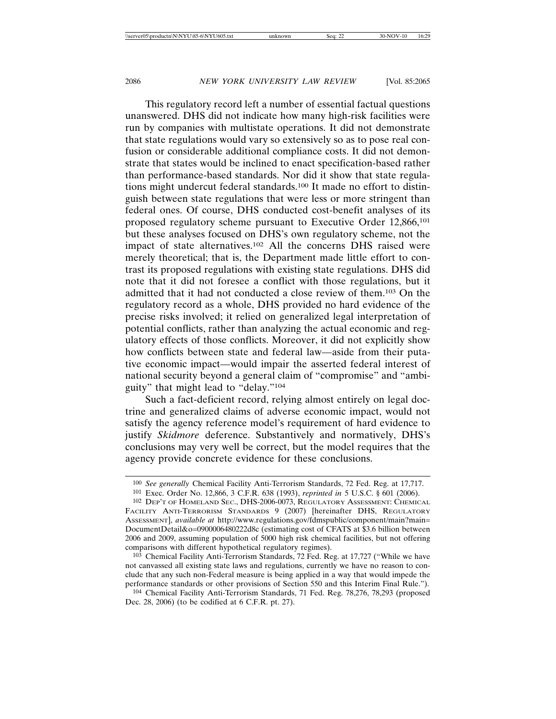This regulatory record left a number of essential factual questions unanswered. DHS did not indicate how many high-risk facilities were run by companies with multistate operations. It did not demonstrate that state regulations would vary so extensively so as to pose real confusion or considerable additional compliance costs. It did not demonstrate that states would be inclined to enact specification-based rather than performance-based standards. Nor did it show that state regulations might undercut federal standards.100 It made no effort to distinguish between state regulations that were less or more stringent than federal ones. Of course, DHS conducted cost-benefit analyses of its proposed regulatory scheme pursuant to Executive Order 12,866,101 but these analyses focused on DHS's own regulatory scheme, not the impact of state alternatives.102 All the concerns DHS raised were merely theoretical; that is, the Department made little effort to contrast its proposed regulations with existing state regulations. DHS did note that it did not foresee a conflict with those regulations, but it admitted that it had not conducted a close review of them.103 On the regulatory record as a whole, DHS provided no hard evidence of the precise risks involved; it relied on generalized legal interpretation of potential conflicts, rather than analyzing the actual economic and regulatory effects of those conflicts. Moreover, it did not explicitly show how conflicts between state and federal law—aside from their putative economic impact—would impair the asserted federal interest of national security beyond a general claim of "compromise" and "ambiguity" that might lead to "delay."104

Such a fact-deficient record, relying almost entirely on legal doctrine and generalized claims of adverse economic impact, would not satisfy the agency reference model's requirement of hard evidence to justify *Skidmore* deference. Substantively and normatively, DHS's conclusions may very well be correct, but the model requires that the agency provide concrete evidence for these conclusions.

<sup>100</sup> *See generally* Chemical Facility Anti-Terrorism Standards, 72 Fed. Reg. at 17,717.

<sup>101</sup> Exec. Order No. 12,866, 3 C.F.R. 638 (1993), *reprinted in* 5 U.S.C. § 601 (2006).

<sup>102</sup> DEP'T OF HOMELAND SEC., DHS-2006-0073, REGULATORY ASSESSMENT: CHEMICAL FACILITY ANTI-TERRORISM STANDARDS 9 (2007) [hereinafter DHS, REGULATORY ASSESSMENT], *available at* http://www.regulations.gov/fdmspublic/component/main?main= DocumentDetail&o=0900006480222d8c (estimating cost of CFATS at \$3.6 billion between 2006 and 2009, assuming population of 5000 high risk chemical facilities, but not offering comparisons with different hypothetical regulatory regimes).

<sup>103</sup> Chemical Facility Anti-Terrorism Standards, 72 Fed. Reg. at 17,727 ("While we have not canvassed all existing state laws and regulations, currently we have no reason to conclude that any such non-Federal measure is being applied in a way that would impede the performance standards or other provisions of Section 550 and this Interim Final Rule.").

<sup>104</sup> Chemical Facility Anti-Terrorism Standards, 71 Fed. Reg. 78,276, 78,293 (proposed Dec. 28, 2006) (to be codified at 6 C.F.R. pt. 27).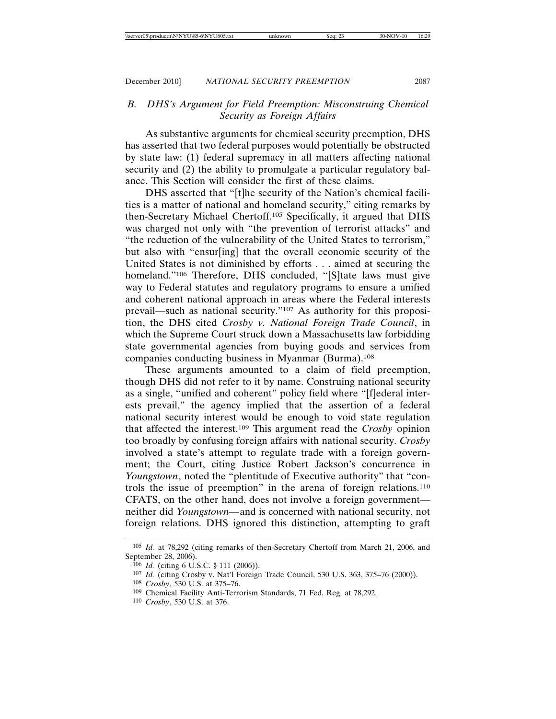### *B. DHS's Argument for Field Preemption: Misconstruing Chemical Security as Foreign Affairs*

As substantive arguments for chemical security preemption, DHS has asserted that two federal purposes would potentially be obstructed by state law: (1) federal supremacy in all matters affecting national security and (2) the ability to promulgate a particular regulatory balance. This Section will consider the first of these claims.

DHS asserted that "[t]he security of the Nation's chemical facilities is a matter of national and homeland security," citing remarks by then-Secretary Michael Chertoff.105 Specifically, it argued that DHS was charged not only with "the prevention of terrorist attacks" and "the reduction of the vulnerability of the United States to terrorism," but also with "ensur[ing] that the overall economic security of the United States is not diminished by efforts . . . aimed at securing the homeland."<sup>106</sup> Therefore, DHS concluded, "[S]tate laws must give way to Federal statutes and regulatory programs to ensure a unified and coherent national approach in areas where the Federal interests prevail—such as national security."107 As authority for this proposition, the DHS cited *Crosby v. National Foreign Trade Council*, in which the Supreme Court struck down a Massachusetts law forbidding state governmental agencies from buying goods and services from companies conducting business in Myanmar (Burma).108

These arguments amounted to a claim of field preemption, though DHS did not refer to it by name. Construing national security as a single, "unified and coherent" policy field where "[f]ederal interests prevail," the agency implied that the assertion of a federal national security interest would be enough to void state regulation that affected the interest.109 This argument read the *Crosby* opinion too broadly by confusing foreign affairs with national security. *Crosby* involved a state's attempt to regulate trade with a foreign government; the Court, citing Justice Robert Jackson's concurrence in *Youngstown*, noted the "plentitude of Executive authority" that "controls the issue of preemption" in the arena of foreign relations.110 CFATS, on the other hand, does not involve a foreign government neither did *Youngstown—*and is concerned with national security, not foreign relations. DHS ignored this distinction, attempting to graft

<sup>105</sup> *Id.* at 78,292 (citing remarks of then-Secretary Chertoff from March 21, 2006, and September 28, 2006).

<sup>106</sup> *Id.* (citing 6 U.S.C. § 111 (2006)).

<sup>107</sup> *Id.* (citing Crosby v. Nat'l Foreign Trade Council, 530 U.S. 363, 375–76 (2000)).

<sup>108</sup> *Crosby*, 530 U.S. at 375–76.

<sup>109</sup> Chemical Facility Anti-Terrorism Standards, 71 Fed. Reg. at 78,292.

<sup>110</sup> *Crosby*, 530 U.S. at 376.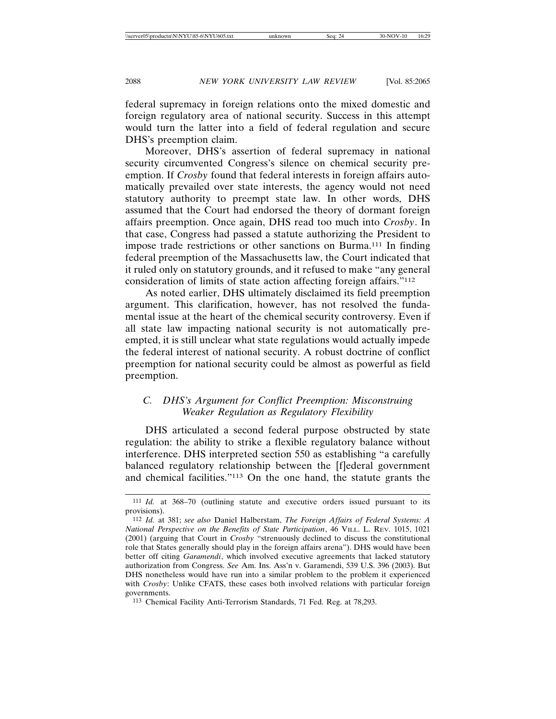federal supremacy in foreign relations onto the mixed domestic and foreign regulatory area of national security. Success in this attempt would turn the latter into a field of federal regulation and secure DHS's preemption claim.

Moreover, DHS's assertion of federal supremacy in national security circumvented Congress's silence on chemical security preemption. If *Crosby* found that federal interests in foreign affairs automatically prevailed over state interests, the agency would not need statutory authority to preempt state law. In other words, DHS assumed that the Court had endorsed the theory of dormant foreign affairs preemption. Once again, DHS read too much into *Crosby*. In that case, Congress had passed a statute authorizing the President to impose trade restrictions or other sanctions on Burma.111 In finding federal preemption of the Massachusetts law, the Court indicated that it ruled only on statutory grounds, and it refused to make "any general consideration of limits of state action affecting foreign affairs."112

As noted earlier, DHS ultimately disclaimed its field preemption argument. This clarification, however, has not resolved the fundamental issue at the heart of the chemical security controversy. Even if all state law impacting national security is not automatically preempted, it is still unclear what state regulations would actually impede the federal interest of national security. A robust doctrine of conflict preemption for national security could be almost as powerful as field preemption.

## *C. DHS's Argument for Conflict Preemption: Misconstruing Weaker Regulation as Regulatory Flexibility*

DHS articulated a second federal purpose obstructed by state regulation: the ability to strike a flexible regulatory balance without interference. DHS interpreted section 550 as establishing "a carefully balanced regulatory relationship between the [f]ederal government and chemical facilities."113 On the one hand, the statute grants the

<sup>111</sup> *Id.* at 368–70 (outlining statute and executive orders issued pursuant to its provisions).

<sup>112</sup> *Id.* at 381; *see also* Daniel Halberstam, *The Foreign Affairs of Federal Systems: A National Perspective on the Benefits of State Participation*, 46 VILL. L. REV. 1015, 1021 (2001) (arguing that Court in *Crosby* "strenuously declined to discuss the constitutional role that States generally should play in the foreign affairs arena"). DHS would have been better off citing *Garamendi*, which involved executive agreements that lacked statutory authorization from Congress. *See* Am. Ins. Ass'n v. Garamendi, 539 U.S. 396 (2003). But DHS nonetheless would have run into a similar problem to the problem it experienced with *Crosby*: Unlike CFATS, these cases both involved relations with particular foreign governments.

<sup>113</sup> Chemical Facility Anti-Terrorism Standards, 71 Fed. Reg. at 78,293.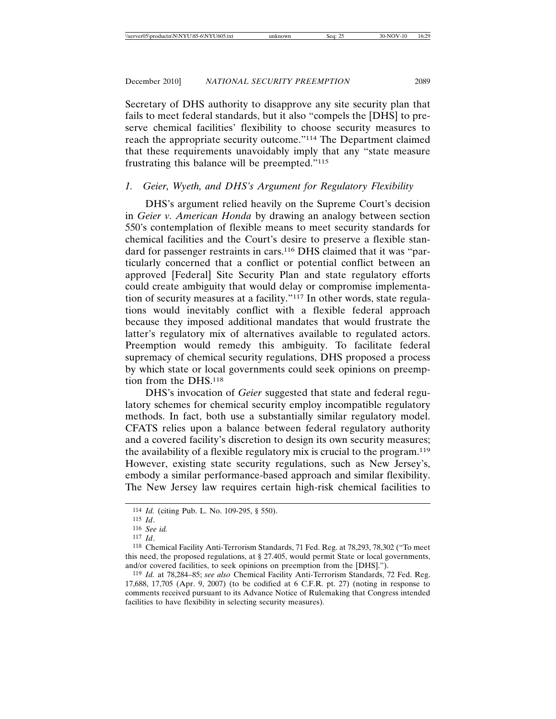Secretary of DHS authority to disapprove any site security plan that fails to meet federal standards, but it also "compels the [DHS] to preserve chemical facilities' flexibility to choose security measures to reach the appropriate security outcome."114 The Department claimed that these requirements unavoidably imply that any "state measure frustrating this balance will be preempted."115

# *1. Geier, Wyeth, and DHS's Argument for Regulatory Flexibility*

DHS's argument relied heavily on the Supreme Court's decision in *Geier v. American Honda* by drawing an analogy between section 550's contemplation of flexible means to meet security standards for chemical facilities and the Court's desire to preserve a flexible standard for passenger restraints in cars.<sup>116</sup> DHS claimed that it was "particularly concerned that a conflict or potential conflict between an approved [Federal] Site Security Plan and state regulatory efforts could create ambiguity that would delay or compromise implementation of security measures at a facility."117 In other words, state regulations would inevitably conflict with a flexible federal approach because they imposed additional mandates that would frustrate the latter's regulatory mix of alternatives available to regulated actors. Preemption would remedy this ambiguity. To facilitate federal supremacy of chemical security regulations, DHS proposed a process by which state or local governments could seek opinions on preemption from the DHS.118

DHS's invocation of *Geier* suggested that state and federal regulatory schemes for chemical security employ incompatible regulatory methods. In fact, both use a substantially similar regulatory model. CFATS relies upon a balance between federal regulatory authority and a covered facility's discretion to design its own security measures; the availability of a flexible regulatory mix is crucial to the program.119 However, existing state security regulations, such as New Jersey's, embody a similar performance-based approach and similar flexibility. The New Jersey law requires certain high-risk chemical facilities to

<sup>114</sup> *Id.* (citing Pub. L. No. 109-295, § 550).

<sup>115</sup> *Id*.

<sup>116</sup> *See id.*

<sup>117</sup> *Id*.

<sup>118</sup> Chemical Facility Anti-Terrorism Standards, 71 Fed. Reg. at 78,293, 78,302 ("To meet this need, the proposed regulations, at § 27.405, would permit State or local governments, and/or covered facilities, to seek opinions on preemption from the [DHS].").

<sup>119</sup> *Id.* at 78,284–85; *see also* Chemical Facility Anti-Terrorism Standards, 72 Fed. Reg. 17,688, 17,705 (Apr. 9, 2007) (to be codified at 6 C.F.R. pt. 27) (noting in response to comments received pursuant to its Advance Notice of Rulemaking that Congress intended facilities to have flexibility in selecting security measures).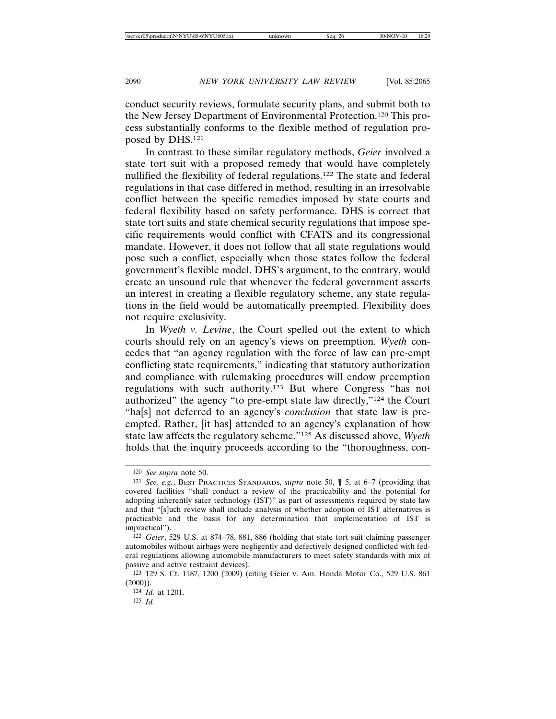conduct security reviews, formulate security plans, and submit both to the New Jersey Department of Environmental Protection.120 This process substantially conforms to the flexible method of regulation proposed by DHS.121

In contrast to these similar regulatory methods, *Geier* involved a state tort suit with a proposed remedy that would have completely nullified the flexibility of federal regulations.122 The state and federal regulations in that case differed in method, resulting in an irresolvable conflict between the specific remedies imposed by state courts and federal flexibility based on safety performance. DHS is correct that state tort suits and state chemical security regulations that impose specific requirements would conflict with CFATS and its congressional mandate. However, it does not follow that all state regulations would pose such a conflict, especially when those states follow the federal government's flexible model. DHS's argument, to the contrary, would create an unsound rule that whenever the federal government asserts an interest in creating a flexible regulatory scheme, any state regulations in the field would be automatically preempted. Flexibility does not require exclusivity.

In *Wyeth v. Levine*, the Court spelled out the extent to which courts should rely on an agency's views on preemption. *Wyeth* concedes that "an agency regulation with the force of law can pre-empt conflicting state requirements," indicating that statutory authorization and compliance with rulemaking procedures will endow preemption regulations with such authority.123 But where Congress "has not authorized" the agency "to pre-empt state law directly,"124 the Court "ha[s] not deferred to an agency's *conclusion* that state law is preempted. Rather, [it has] attended to an agency's explanation of how state law affects the regulatory scheme."125 As discussed above, *Wyeth* holds that the inquiry proceeds according to the "thoroughness, con-

<sup>120</sup> *See supra* note 50.

<sup>121</sup> *See, e.g.*, BEST PRACTICES STANDARDS, *supra* note 50, ¶ 5, at 6–7 (providing that covered facilities "shall conduct a review of the practicability and the potential for adopting inherently safer technology (IST)" as part of assessments required by state law and that "[s]uch review shall include analysis of whether adoption of IST alternatives is practicable and the basis for any determination that implementation of IST is impractical").

<sup>122</sup> *Geier*, 529 U.S. at 874–78, 881, 886 (holding that state tort suit claiming passenger automobiles without airbags were negligently and defectively designed conflicted with federal regulations allowing automobile manufacturers to meet safety standards with mix of passive and active restraint devices).

<sup>123</sup> 129 S. Ct. 1187, 1200 (2009) (citing Geier v. Am. Honda Motor Co., 529 U.S. 861  $(2000)$ ).

<sup>124</sup> *Id.* at 1201. 125 *Id.*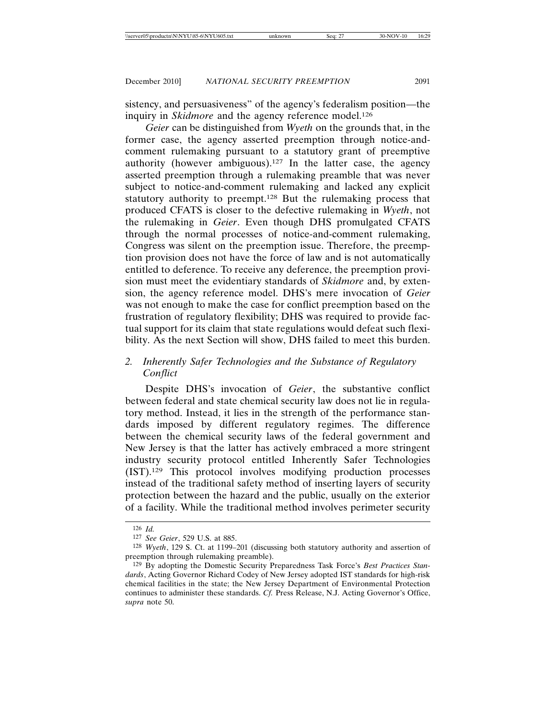sistency, and persuasiveness" of the agency's federalism position—the inquiry in *Skidmore* and the agency reference model.<sup>126</sup>

*Geier* can be distinguished from *Wyeth* on the grounds that, in the former case, the agency asserted preemption through notice-andcomment rulemaking pursuant to a statutory grant of preemptive authority (however ambiguous).127 In the latter case, the agency asserted preemption through a rulemaking preamble that was never subject to notice-and-comment rulemaking and lacked any explicit statutory authority to preempt.128 But the rulemaking process that produced CFATS is closer to the defective rulemaking in *Wyeth*, not the rulemaking in *Geier*. Even though DHS promulgated CFATS through the normal processes of notice-and-comment rulemaking, Congress was silent on the preemption issue. Therefore, the preemption provision does not have the force of law and is not automatically entitled to deference. To receive any deference, the preemption provision must meet the evidentiary standards of *Skidmore* and, by extension, the agency reference model. DHS's mere invocation of *Geier* was not enough to make the case for conflict preemption based on the frustration of regulatory flexibility; DHS was required to provide factual support for its claim that state regulations would defeat such flexibility. As the next Section will show, DHS failed to meet this burden.

# *2. Inherently Safer Technologies and the Substance of Regulatory Conflict*

Despite DHS's invocation of *Geier*, the substantive conflict between federal and state chemical security law does not lie in regulatory method. Instead, it lies in the strength of the performance standards imposed by different regulatory regimes. The difference between the chemical security laws of the federal government and New Jersey is that the latter has actively embraced a more stringent industry security protocol entitled Inherently Safer Technologies (IST).129 This protocol involves modifying production processes instead of the traditional safety method of inserting layers of security protection between the hazard and the public, usually on the exterior of a facility. While the traditional method involves perimeter security

<sup>126</sup> *Id.*

<sup>127</sup> *See Geier*, 529 U.S. at 885.

<sup>128</sup> *Wyeth*, 129 S. Ct. at 1199–201 (discussing both statutory authority and assertion of preemption through rulemaking preamble).

<sup>129</sup> By adopting the Domestic Security Preparedness Task Force's *Best Practices Standards*, Acting Governor Richard Codey of New Jersey adopted IST standards for high-risk chemical facilities in the state; the New Jersey Department of Environmental Protection continues to administer these standards. *Cf.* Press Release, N.J. Acting Governor's Office, *supra* note 50.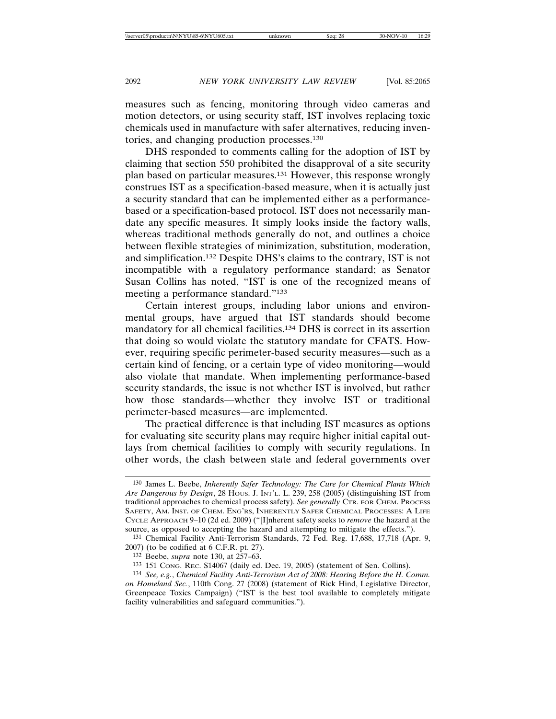measures such as fencing, monitoring through video cameras and motion detectors, or using security staff, IST involves replacing toxic chemicals used in manufacture with safer alternatives, reducing inventories, and changing production processes.130

DHS responded to comments calling for the adoption of IST by claiming that section 550 prohibited the disapproval of a site security plan based on particular measures.131 However, this response wrongly construes IST as a specification-based measure, when it is actually just a security standard that can be implemented either as a performancebased or a specification-based protocol. IST does not necessarily mandate any specific measures. It simply looks inside the factory walls, whereas traditional methods generally do not, and outlines a choice between flexible strategies of minimization, substitution, moderation, and simplification.132 Despite DHS's claims to the contrary, IST is not incompatible with a regulatory performance standard; as Senator Susan Collins has noted, "IST is one of the recognized means of meeting a performance standard."133

Certain interest groups, including labor unions and environmental groups, have argued that IST standards should become mandatory for all chemical facilities.134 DHS is correct in its assertion that doing so would violate the statutory mandate for CFATS. However, requiring specific perimeter-based security measures—such as a certain kind of fencing, or a certain type of video monitoring—would also violate that mandate. When implementing performance-based security standards, the issue is not whether IST is involved, but rather how those standards—whether they involve IST or traditional perimeter-based measures—are implemented.

The practical difference is that including IST measures as options for evaluating site security plans may require higher initial capital outlays from chemical facilities to comply with security regulations. In other words, the clash between state and federal governments over

<sup>130</sup> James L. Beebe, *Inherently Safer Technology: The Cure for Chemical Plants Which Are Dangerous by Design*, 28 HOUS. J. INT'L. L. 239, 258 (2005) (distinguishing IST from traditional approaches to chemical process safety). *See generally* CTR. FOR CHEM. PROCESS SAFETY, AM. INST. OF CHEM. ENG'RS, INHERENTLY SAFER CHEMICAL PROCESSES: A LIFE CYCLE APPROACH 9–10 (2d ed. 2009) ("[I]nherent safety seeks to *remove* the hazard at the source, as opposed to accepting the hazard and attempting to mitigate the effects.").

<sup>131</sup> Chemical Facility Anti-Terrorism Standards, 72 Fed. Reg. 17,688, 17,718 (Apr. 9, 2007) (to be codified at 6 C.F.R. pt. 27).

<sup>132</sup> Beebe, *supra* note 130, at 257–63.

<sup>133</sup> 151 CONG. REC. S14067 (daily ed. Dec. 19, 2005) (statement of Sen. Collins).

<sup>134</sup> *See, e.g.*, *Chemical Facility Anti-Terrorism Act of 2008: Hearing Before the H. Comm. on Homeland Sec.*, 110th Cong. 27 (2008) (statement of Rick Hind, Legislative Director, Greenpeace Toxics Campaign) ("IST is the best tool available to completely mitigate facility vulnerabilities and safeguard communities.").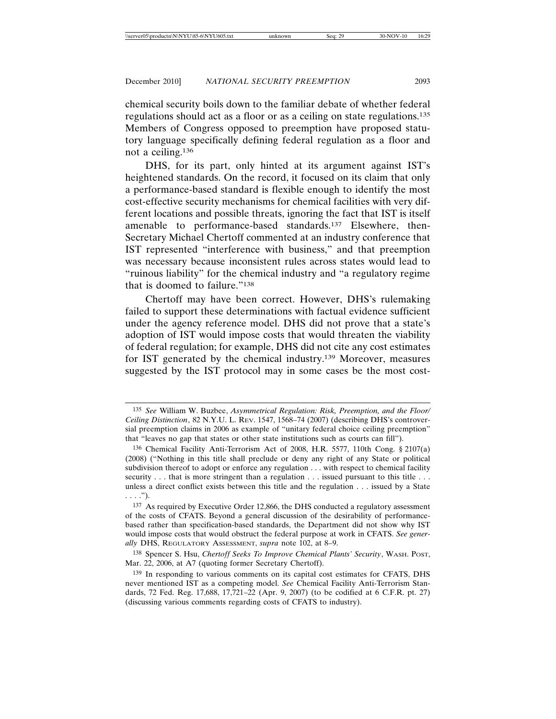chemical security boils down to the familiar debate of whether federal regulations should act as a floor or as a ceiling on state regulations.135 Members of Congress opposed to preemption have proposed statutory language specifically defining federal regulation as a floor and not a ceiling.136

DHS, for its part, only hinted at its argument against IST's heightened standards. On the record, it focused on its claim that only a performance-based standard is flexible enough to identify the most cost-effective security mechanisms for chemical facilities with very different locations and possible threats, ignoring the fact that IST is itself amenable to performance-based standards.137 Elsewhere, then-Secretary Michael Chertoff commented at an industry conference that IST represented "interference with business," and that preemption was necessary because inconsistent rules across states would lead to "ruinous liability" for the chemical industry and "a regulatory regime that is doomed to failure."138

Chertoff may have been correct. However, DHS's rulemaking failed to support these determinations with factual evidence sufficient under the agency reference model. DHS did not prove that a state's adoption of IST would impose costs that would threaten the viability of federal regulation; for example, DHS did not cite any cost estimates for IST generated by the chemical industry.139 Moreover, measures suggested by the IST protocol may in some cases be the most cost-

<sup>135</sup> *See* William W. Buzbee, *Asymmetrical Regulation: Risk, Preemption, and the Floor/ Ceiling Distinction*, 82 N.Y.U. L. REV. 1547, 1568–74 (2007) (describing DHS's controversial preemption claims in 2006 as example of "unitary federal choice ceiling preemption" that "leaves no gap that states or other state institutions such as courts can fill").

<sup>136</sup> Chemical Facility Anti-Terrorism Act of 2008, H.R. 5577, 110th Cong. § 2107(a) (2008) ("Nothing in this title shall preclude or deny any right of any State or political subdivision thereof to adopt or enforce any regulation . . . with respect to chemical facility security . . . that is more stringent than a regulation . . . issued pursuant to this title . . . unless a direct conflict exists between this title and the regulation . . . issued by a State . . . .").

<sup>137</sup> As required by Executive Order 12,866, the DHS conducted a regulatory assessment of the costs of CFATS. Beyond a general discussion of the desirability of performancebased rather than specification-based standards, the Department did not show why IST would impose costs that would obstruct the federal purpose at work in CFATS. *See generally* DHS, REGULATORY ASSESSMENT, *supra* note 102, at 8–9.

<sup>138</sup> Spencer S. Hsu, *Chertoff Seeks To Improve Chemical Plants' Security*, WASH. POST, Mar. 22, 2006, at A7 (quoting former Secretary Chertoff).

<sup>139</sup> In responding to various comments on its capital cost estimates for CFATS, DHS never mentioned IST as a competing model. *See* Chemical Facility Anti-Terrorism Standards, 72 Fed. Reg. 17,688, 17,721–22 (Apr. 9, 2007) (to be codified at 6 C.F.R. pt. 27) (discussing various comments regarding costs of CFATS to industry).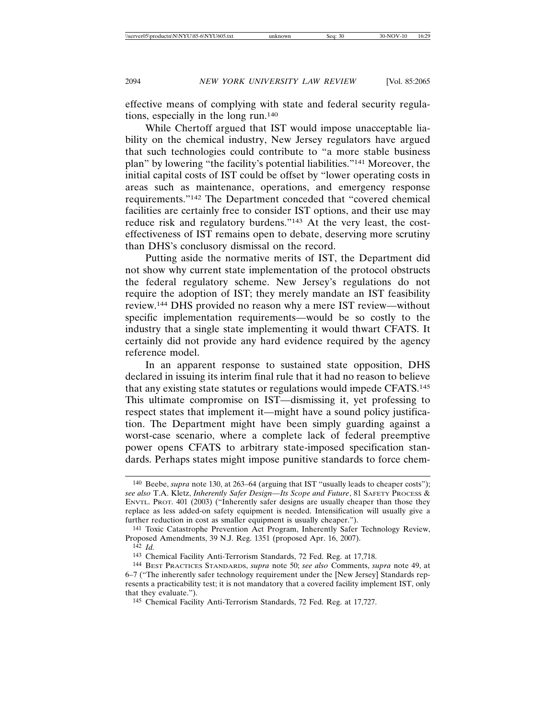effective means of complying with state and federal security regulations, especially in the long run.140

While Chertoff argued that IST would impose unacceptable liability on the chemical industry, New Jersey regulators have argued that such technologies could contribute to "a more stable business plan" by lowering "the facility's potential liabilities."141 Moreover, the initial capital costs of IST could be offset by "lower operating costs in areas such as maintenance, operations, and emergency response requirements."142 The Department conceded that "covered chemical facilities are certainly free to consider IST options, and their use may reduce risk and regulatory burdens."143 At the very least, the costeffectiveness of IST remains open to debate, deserving more scrutiny than DHS's conclusory dismissal on the record.

Putting aside the normative merits of IST, the Department did not show why current state implementation of the protocol obstructs the federal regulatory scheme. New Jersey's regulations do not require the adoption of IST; they merely mandate an IST feasibility review.144 DHS provided no reason why a mere IST review—without specific implementation requirements—would be so costly to the industry that a single state implementing it would thwart CFATS. It certainly did not provide any hard evidence required by the agency reference model.

In an apparent response to sustained state opposition, DHS declared in issuing its interim final rule that it had no reason to believe that any existing state statutes or regulations would impede CFATS.145 This ultimate compromise on IST—dismissing it, yet professing to respect states that implement it—might have a sound policy justification. The Department might have been simply guarding against a worst-case scenario, where a complete lack of federal preemptive power opens CFATS to arbitrary state-imposed specification standards. Perhaps states might impose punitive standards to force chem-

<sup>140</sup> Beebe, *supra* note 130, at 263–64 (arguing that IST "usually leads to cheaper costs"); *see also* T.A. Kletz, *Inherently Safer Design—Its Scope and Future*, 81 SAFETY PROCESS & ENVTL. PROT. 401 (2003) ("Inherently safer designs are usually cheaper than those they replace as less added-on safety equipment is needed. Intensification will usually give a further reduction in cost as smaller equipment is usually cheaper.").

<sup>141</sup> Toxic Catastrophe Prevention Act Program, Inherently Safer Technology Review, Proposed Amendments, 39 N.J. Reg. 1351 (proposed Apr. 16, 2007).

<sup>142</sup> *Id.*

<sup>143</sup> Chemical Facility Anti-Terrorism Standards, 72 Fed. Reg. at 17,718.

<sup>144</sup> BEST PRACTICES STANDARDS, *supra* note 50; *see also* Comments, *supra* note 49, at 6–7 ("The inherently safer technology requirement under the [New Jersey] Standards represents a practicability test; it is not mandatory that a covered facility implement IST, only that they evaluate.").

<sup>145</sup> Chemical Facility Anti-Terrorism Standards, 72 Fed. Reg. at 17,727.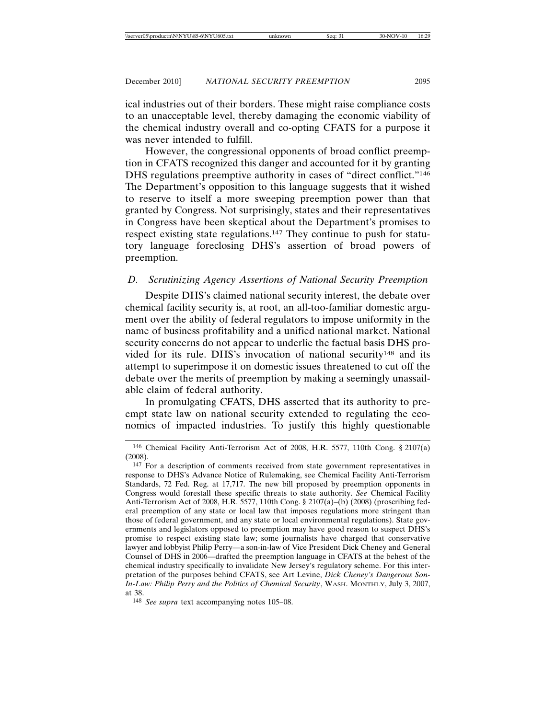ical industries out of their borders. These might raise compliance costs to an unacceptable level, thereby damaging the economic viability of the chemical industry overall and co-opting CFATS for a purpose it was never intended to fulfill.

However, the congressional opponents of broad conflict preemption in CFATS recognized this danger and accounted for it by granting DHS regulations preemptive authority in cases of "direct conflict."146 The Department's opposition to this language suggests that it wished to reserve to itself a more sweeping preemption power than that granted by Congress. Not surprisingly, states and their representatives in Congress have been skeptical about the Department's promises to respect existing state regulations.147 They continue to push for statutory language foreclosing DHS's assertion of broad powers of preemption.

# *D. Scrutinizing Agency Assertions of National Security Preemption*

Despite DHS's claimed national security interest, the debate over chemical facility security is, at root, an all-too-familiar domestic argument over the ability of federal regulators to impose uniformity in the name of business profitability and a unified national market. National security concerns do not appear to underlie the factual basis DHS provided for its rule. DHS's invocation of national security<sup>148</sup> and its attempt to superimpose it on domestic issues threatened to cut off the debate over the merits of preemption by making a seemingly unassailable claim of federal authority.

In promulgating CFATS, DHS asserted that its authority to preempt state law on national security extended to regulating the economics of impacted industries. To justify this highly questionable

148 *See supra* text accompanying notes 105–08.

<sup>146</sup> Chemical Facility Anti-Terrorism Act of 2008, H.R. 5577, 110th Cong. § 2107(a) (2008).

<sup>147</sup> For a description of comments received from state government representatives in response to DHS's Advance Notice of Rulemaking, see Chemical Facility Anti-Terrorism Standards, 72 Fed. Reg. at 17,717. The new bill proposed by preemption opponents in Congress would forestall these specific threats to state authority. *See* Chemical Facility Anti-Terrorism Act of 2008, H.R. 5577, 110th Cong. § 2107(a)–(b) (2008) (proscribing federal preemption of any state or local law that imposes regulations more stringent than those of federal government, and any state or local environmental regulations). State governments and legislators opposed to preemption may have good reason to suspect DHS's promise to respect existing state law; some journalists have charged that conservative lawyer and lobbyist Philip Perry—a son-in-law of Vice President Dick Cheney and General Counsel of DHS in 2006—drafted the preemption language in CFATS at the behest of the chemical industry specifically to invalidate New Jersey's regulatory scheme. For this interpretation of the purposes behind CFATS, see Art Levine, *Dick Cheney's Dangerous Son-In-Law: Philip Perry and the Politics of Chemical Security*, WASH. MONTHLY, July 3, 2007, at 38.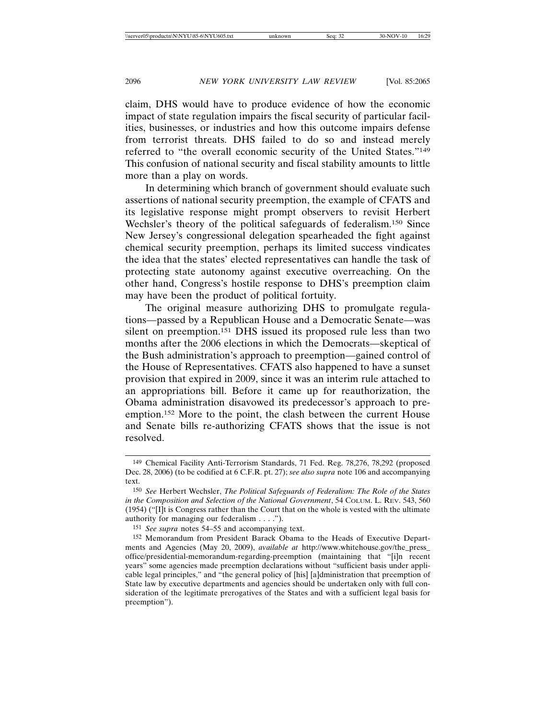claim, DHS would have to produce evidence of how the economic impact of state regulation impairs the fiscal security of particular facilities, businesses, or industries and how this outcome impairs defense from terrorist threats. DHS failed to do so and instead merely referred to "the overall economic security of the United States."149 This confusion of national security and fiscal stability amounts to little more than a play on words.

In determining which branch of government should evaluate such assertions of national security preemption, the example of CFATS and its legislative response might prompt observers to revisit Herbert Wechsler's theory of the political safeguards of federalism.<sup>150</sup> Since New Jersey's congressional delegation spearheaded the fight against chemical security preemption, perhaps its limited success vindicates the idea that the states' elected representatives can handle the task of protecting state autonomy against executive overreaching. On the other hand, Congress's hostile response to DHS's preemption claim may have been the product of political fortuity.

The original measure authorizing DHS to promulgate regulations—passed by a Republican House and a Democratic Senate—was silent on preemption.151 DHS issued its proposed rule less than two months after the 2006 elections in which the Democrats—skeptical of the Bush administration's approach to preemption—gained control of the House of Representatives. CFATS also happened to have a sunset provision that expired in 2009, since it was an interim rule attached to an appropriations bill. Before it came up for reauthorization, the Obama administration disavowed its predecessor's approach to preemption.152 More to the point, the clash between the current House and Senate bills re-authorizing CFATS shows that the issue is not resolved.

151 *See supra* notes 54–55 and accompanying text.

<sup>149</sup> Chemical Facility Anti-Terrorism Standards, 71 Fed. Reg. 78,276, 78,292 (proposed Dec. 28, 2006) (to be codified at 6 C.F.R. pt. 27); *see also supra* note 106 and accompanying text.

<sup>150</sup> *See* Herbert Wechsler, *The Political Safeguards of Federalism: The Role of the States in the Composition and Selection of the National Government*, 54 COLUM. L. REV. 543, 560 (1954) ("[I]t is Congress rather than the Court that on the whole is vested with the ultimate authority for managing our federalism . . . .").

<sup>152</sup> Memorandum from President Barack Obama to the Heads of Executive Departments and Agencies (May 20, 2009), *available at* http://www.whitehouse.gov/the\_press\_ office/presidential-memorandum-regarding-preemption (maintaining that "[i]n recent years" some agencies made preemption declarations without "sufficient basis under applicable legal principles," and "the general policy of [his] [a]dministration that preemption of State law by executive departments and agencies should be undertaken only with full consideration of the legitimate prerogatives of the States and with a sufficient legal basis for preemption").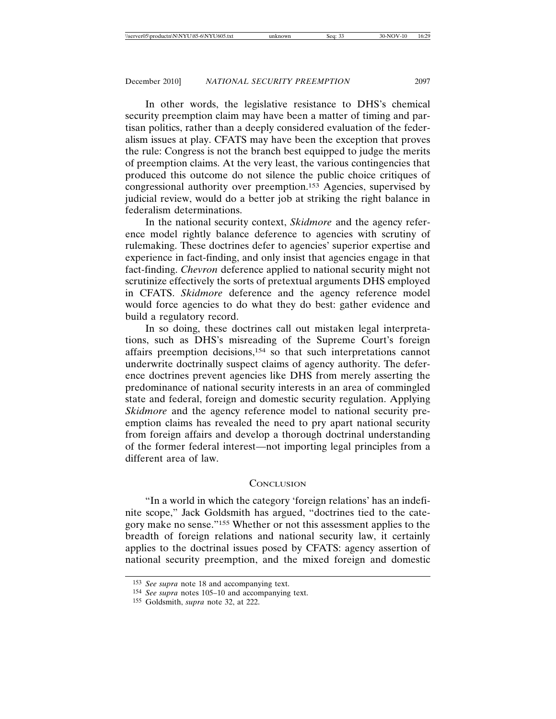In other words, the legislative resistance to DHS's chemical security preemption claim may have been a matter of timing and partisan politics, rather than a deeply considered evaluation of the federalism issues at play. CFATS may have been the exception that proves the rule: Congress is not the branch best equipped to judge the merits of preemption claims. At the very least, the various contingencies that produced this outcome do not silence the public choice critiques of congressional authority over preemption.153 Agencies, supervised by judicial review, would do a better job at striking the right balance in federalism determinations.

In the national security context, *Skidmore* and the agency reference model rightly balance deference to agencies with scrutiny of rulemaking. These doctrines defer to agencies' superior expertise and experience in fact-finding, and only insist that agencies engage in that fact-finding. *Chevron* deference applied to national security might not scrutinize effectively the sorts of pretextual arguments DHS employed in CFATS. *Skidmore* deference and the agency reference model would force agencies to do what they do best: gather evidence and build a regulatory record.

In so doing, these doctrines call out mistaken legal interpretations, such as DHS's misreading of the Supreme Court's foreign affairs preemption decisions,154 so that such interpretations cannot underwrite doctrinally suspect claims of agency authority. The deference doctrines prevent agencies like DHS from merely asserting the predominance of national security interests in an area of commingled state and federal, foreign and domestic security regulation. Applying *Skidmore* and the agency reference model to national security preemption claims has revealed the need to pry apart national security from foreign affairs and develop a thorough doctrinal understanding of the former federal interest—not importing legal principles from a different area of law.

#### **CONCLUSION**

"In a world in which the category 'foreign relations' has an indefinite scope," Jack Goldsmith has argued, "doctrines tied to the category make no sense."155 Whether or not this assessment applies to the breadth of foreign relations and national security law, it certainly applies to the doctrinal issues posed by CFATS: agency assertion of national security preemption, and the mixed foreign and domestic

<sup>153</sup> *See supra* note 18 and accompanying text.

<sup>154</sup> *See supra* notes 105–10 and accompanying text.

<sup>155</sup> Goldsmith, *supra* note 32, at 222.